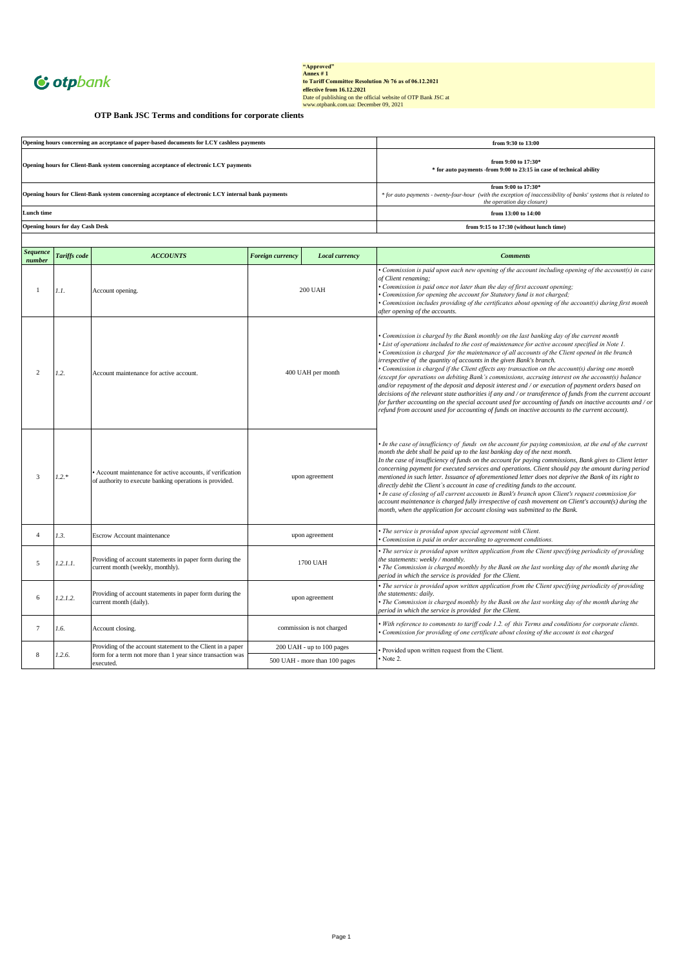

"Approved"<br>
Annex # 1<br>
to Tariff Committee Resolution Ne 76 as of 06.12.2021<br>
effective from 16.12.2021<br>
Date of publishing on the official website of OTP Bank JSC at<br>
Date of publishing on the official website of OTP Ban

**OTP Bank JSC Terms and conditions for corporate clients**

| Opening hours concerning an acceptance of paper-based documents for LCY cashless payments           | from 9:30 to 13:00                                                                                                                                                        |
|-----------------------------------------------------------------------------------------------------|---------------------------------------------------------------------------------------------------------------------------------------------------------------------------|
| Opening hours for Client-Bank system concerning acceptance of electronic LCY payments               | from 9:00 to $17:30*$<br>* for auto payments -from 9:00 to 23:15 in case of technical ability                                                                             |
| Opening hours for Client-Bank system concerning acceptance of electronic LCY internal bank payments | from 9:00 to $17:30*$<br>* for auto payments - twenty-four-hour (with the exception of inaccessibility of banks' systems that is related to<br>the operation day closure) |
| Lunch time                                                                                          | from $13:00$ to $14:00$                                                                                                                                                   |
| <b>Opening hours for day Cash Desk</b>                                                              | from 9:15 to 17:30 (without lunch time)                                                                                                                                   |
|                                                                                                     |                                                                                                                                                                           |

| <b>Sequence</b><br>number | <b>Tariffs</b> code | <b>ACCOUNTS</b>                                                                                                       | <b>Foreign currency</b>   | Local currency                | <b>Comments</b>                                                                                                                                                                                                                                                                                                                                                                                                                                                                                                                                                                                                                                                                                                                                                                                                                                                                                                                                                                                                  |
|---------------------------|---------------------|-----------------------------------------------------------------------------------------------------------------------|---------------------------|-------------------------------|------------------------------------------------------------------------------------------------------------------------------------------------------------------------------------------------------------------------------------------------------------------------------------------------------------------------------------------------------------------------------------------------------------------------------------------------------------------------------------------------------------------------------------------------------------------------------------------------------------------------------------------------------------------------------------------------------------------------------------------------------------------------------------------------------------------------------------------------------------------------------------------------------------------------------------------------------------------------------------------------------------------|
| $\mathbf{1}$              | 1.1.                | Account opening.                                                                                                      |                           | <b>200 UAH</b>                | Commission is paid upon each new opening of the account including opening of the account(s) in case<br>of Client renaming;<br>• Commission is paid once not later than the day of first account opening;<br>Commission for opening the account for Statutory fund is not charged;<br>• Commission includes providing of the certificates about opening of the account(s) during first month<br>after opening of the accounts.                                                                                                                                                                                                                                                                                                                                                                                                                                                                                                                                                                                    |
| 2                         | 1.2.                | Account maintenance for active account.                                                                               | 400 UAH per month         |                               | Commission is charged by the Bank monthly on the last banking day of the current month<br>• List of operations included to the cost of maintenance for active account specified in Note 1.<br>• Commission is charged for the maintenance of all accounts of the Client opened in the branch<br>irrespective of the quantity of accounts in the given Bank's branch.<br>• Commission is charged if the Client effects any transaction on the account(s) during one month<br>(except for operations on debiting Bank's commissions, accruing interest on the account(s) balance<br>and/or repayment of the deposit and deposit interest and / or execution of payment orders based on<br>decisions of the relevant state authorities if any and / or transference of funds from the current account<br>for further accounting on the special account used for accounting of funds on inactive accounts and / or<br>refund from account used for accounting of funds on inactive accounts to the current account). |
| $\overline{3}$            | $1.2.*$             | • Account maintenance for active accounts, if verification<br>of authority to execute banking operations is provided. | upon agreement            |                               | • In the case of insufficiency of funds on the account for paying commission, at the end of the current<br>month the debt shall be paid up to the last banking day of the next month.<br>In the case of insufficiency of funds on the account for paying commissions, Bank gives to Client letter<br>concerning payment for executed services and operations. Client should pay the amount during period<br>mentioned in such letter. Issuance of aforementioned letter does not deprive the Bank of its right to<br>directly debit the Client's account in case of crediting funds to the account.<br>• In case of closing of all current accounts in Bank's branch upon Client's request commission for<br>account maintenance is charged fully irrespective of cash movement on Client's account(s) during the<br>month, when the application for account closing was submitted to the Bank.                                                                                                                  |
| $\overline{4}$            | 1.3.                | <b>Escrow Account maintenance</b>                                                                                     |                           | upon agreement                | • The service is provided upon special agreement with Client.<br>Commission is paid in order according to agreement conditions.                                                                                                                                                                                                                                                                                                                                                                                                                                                                                                                                                                                                                                                                                                                                                                                                                                                                                  |
| 5                         | 1.2.1.1.            | Providing of account statements in paper form during the<br>current month (weekly, monthly).                          | 1700 UAH                  |                               | • The service is provided upon written application from the Client specifying periodicity of providing<br>the statements: weekly / monthly.<br>• The Commission is charged monthly by the Bank on the last working day of the month during the<br>period in which the service is provided for the Client.                                                                                                                                                                                                                                                                                                                                                                                                                                                                                                                                                                                                                                                                                                        |
| 6                         | 1.2.1.2.            | Providing of account statements in paper form during the<br>current month (daily).                                    | upon agreement            |                               | • The service is provided upon written application from the Client specifying periodicity of providing<br>the statements: daily.<br>• The Commission is charged monthly by the Bank on the last working day of the month during the<br>period in which the service is provided for the Client.                                                                                                                                                                                                                                                                                                                                                                                                                                                                                                                                                                                                                                                                                                                   |
| $7\phantom{.0}$           | 1.6.                | Account closing.                                                                                                      | commission is not charged |                               | . With reference to comments to tariff code 1.2. of this Terms and conditions for corporate clients.<br>Commission for providing of one certificate about closing of the account is not charged                                                                                                                                                                                                                                                                                                                                                                                                                                                                                                                                                                                                                                                                                                                                                                                                                  |
|                           | 1.2.6.              | Providing of the account statement to the Client in a paper                                                           |                           | 200 UAH - up to 100 pages     | Provided upon written request from the Client.                                                                                                                                                                                                                                                                                                                                                                                                                                                                                                                                                                                                                                                                                                                                                                                                                                                                                                                                                                   |
| 8                         |                     | form for a term not more than 1 year since transaction was<br>executed.                                               |                           | 500 UAH - more than 100 pages | Note 2.                                                                                                                                                                                                                                                                                                                                                                                                                                                                                                                                                                                                                                                                                                                                                                                                                                                                                                                                                                                                          |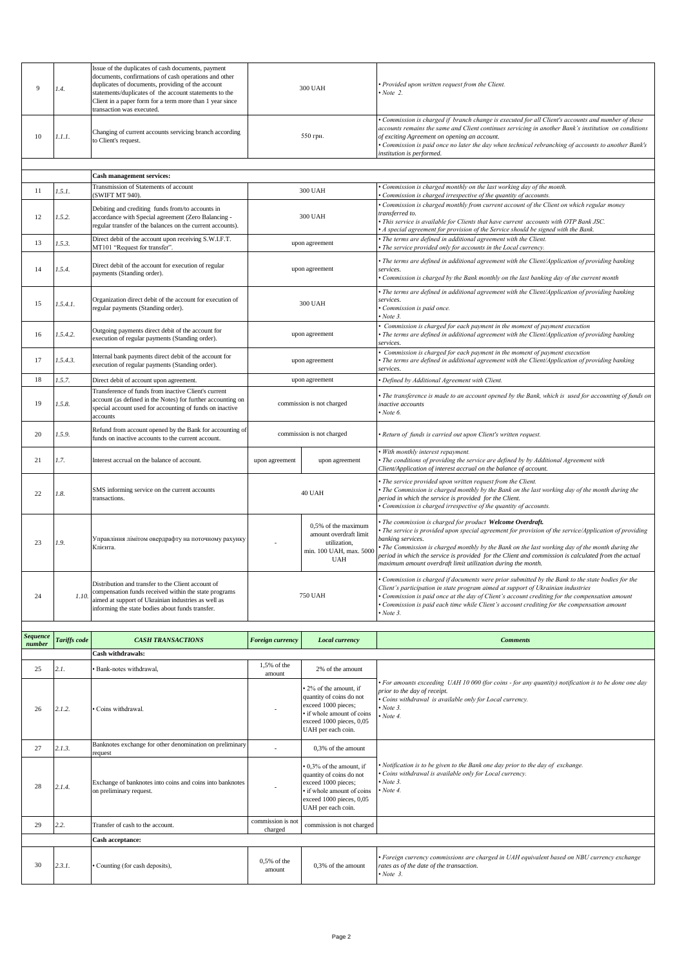|                           |              |                                                                                                                                                                                                                                                               | 1.5% of the      |                                                                                                        |                                                                                                                                                                                                                                                                                                                                                                                                                                                               |
|---------------------------|--------------|---------------------------------------------------------------------------------------------------------------------------------------------------------------------------------------------------------------------------------------------------------------|------------------|--------------------------------------------------------------------------------------------------------|---------------------------------------------------------------------------------------------------------------------------------------------------------------------------------------------------------------------------------------------------------------------------------------------------------------------------------------------------------------------------------------------------------------------------------------------------------------|
|                           |              | Cash withdrawals:                                                                                                                                                                                                                                             |                  |                                                                                                        |                                                                                                                                                                                                                                                                                                                                                                                                                                                               |
| <b>Sequence</b><br>number | Tariffs code | <b>CASH TRANSACTIONS</b>                                                                                                                                                                                                                                      | Foreign currency | <b>Local currency</b>                                                                                  | <b>Comments</b>                                                                                                                                                                                                                                                                                                                                                                                                                                               |
| 24                        | 1.10         | Distribution and transfer to the Client account of<br>compensation funds received within the state programs<br>aimed at support of Ukrainian industries as well as<br>informing the state bodies about funds transfer.                                        |                  | <b>750 UAH</b>                                                                                         | Commission is charged if documents were prior submitted by the Bank to the state bodies for the<br>Client's participation in state program aimed at support of Ukrainian industries<br>Commission is paid once at the day of Client's account crediting for the compensation amount<br>Commission is paid each time while Client's account crediting for the compensation amount<br>Note 3.                                                                   |
| 23                        | 1.9.         | Управління лімітом овердрафту на поточному рахунку<br>Клієнта.                                                                                                                                                                                                |                  | 0.5% of the maximum<br>amount overdraft limit<br>utilization,<br>min. 100 UAH, max. 5000<br><b>UAH</b> | The commission is charged for product Welcome Overdraft.<br>The service is provided upon special agreement for provision of the service/Application of providing<br>banking services.<br>The Commission is charged monthly by the Bank on the last working day of the month during the<br>period in which the service is provided for the Client and commission is calculated from the actual<br>maximum amount overdraft limit utilization during the month. |
| 22                        | 1.8.         | SMS informing service on the current accounts<br>transactions.                                                                                                                                                                                                |                  | 40 UAH                                                                                                 | The service provided upon written request from the Client.<br>The Commission is charged monthly by the Bank on the last working day of the month during the<br>period in which the service is provided for the Client.<br>Commission is charged irrespective of the quantity of accounts.                                                                                                                                                                     |
| 21                        | 1.7.         | Interest accrual on the balance of account.                                                                                                                                                                                                                   | upon agreement   | upon agreement                                                                                         | With monthly interest repayment.<br>The conditions of providing the service are defined by by Additional Agreement with<br>Client/Application of interest accrual on the balance of account.                                                                                                                                                                                                                                                                  |
| 20                        | 1.5.9.       | Refund from account opened by the Bank for accounting of<br>funds on inactive accounts to the current account.                                                                                                                                                |                  | commission is not charged                                                                              | Return of funds is carried out upon Client's written request.                                                                                                                                                                                                                                                                                                                                                                                                 |
| 19                        | 1.5.8.       | Transference of funds from inactive Client's current<br>account (as defined in the Notes) for further accounting on<br>special account used for accounting of funds on inactive<br>accounts                                                                   |                  | commission is not charged                                                                              | The transference is made to an account opened by the Bank, which is used for accounting of funds on<br>inactive accounts<br>Note 6.                                                                                                                                                                                                                                                                                                                           |
| 18                        | 1.5.7.       | Direct debit of account upon agreement.                                                                                                                                                                                                                       |                  | upon agreement                                                                                         | Defined by Additional Agreement with Client.                                                                                                                                                                                                                                                                                                                                                                                                                  |
| 17                        | 1.5.4.3.     | Internal bank payments direct debit of the account for<br>execution of regular payments (Standing order).                                                                                                                                                     |                  | upon agreement                                                                                         | Commission is charged for each payment in the moment of payment execution<br>The terms are defined in additional agreement with the Client/Application of providing banking<br>services.                                                                                                                                                                                                                                                                      |
| 16                        | 1.5.4.2.     | Outgoing payments direct debit of the account for<br>execution of regular payments (Standing order).                                                                                                                                                          |                  | upon agreement                                                                                         | Commission is charged for each payment in the moment of payment execution<br>The terms are defined in additional agreement with the Client/Application of providing banking<br>services.                                                                                                                                                                                                                                                                      |
| 15                        | 1.5.4.1.     | Organization direct debit of the account for execution of<br>regular payments (Standing order).                                                                                                                                                               |                  | 300 UAH                                                                                                | The terms are defined in additional agreement with the Client/Application of providing banking<br>services.<br>Commission is paid once.<br>Note 3.                                                                                                                                                                                                                                                                                                            |
| 14                        | 1.5.4.       | Direct debit of the account for execution of regular<br>payments (Standing order).                                                                                                                                                                            |                  | upon agreement                                                                                         | The terms are defined in additional agreement with the Client/Application of providing banking<br>services.<br>Commission is charged by the Bank monthly on the last banking day of the current month                                                                                                                                                                                                                                                         |
| 13                        | 1.5.3.       | Direct debit of the account upon receiving S.W.I.F.T.<br>MT101 "Request for transfer".                                                                                                                                                                        |                  | upon agreement                                                                                         | The terms are defined in additional agreement with the Client.<br>The service provided only for accounts in the Local currency.                                                                                                                                                                                                                                                                                                                               |
| 12                        | 1.5.2.       | Debiting and crediting funds from/to accounts in<br>accordance with Special agreement (Zero Balancing -<br>regular transfer of the balances on the current accounts).                                                                                         |                  | <b>300 UAH</b>                                                                                         | Commission is charged monthly from current account of the Client on which regular money<br>transferred to.<br>This service is available for Clients that have current accounts with OTP Bank JSC.<br>A special agreement for provision of the Service should be signed with the Bank.                                                                                                                                                                         |
| 11                        | 1.5.1.       | Transmission of Statements of account<br>(SWIFT MT 940).                                                                                                                                                                                                      |                  | <b>300 UAH</b>                                                                                         | Commission is charged monthly on the last working day of the month.<br>Commission is charged irrespective of the quantity of accounts.                                                                                                                                                                                                                                                                                                                        |
|                           |              | <b>Cash management services:</b>                                                                                                                                                                                                                              |                  |                                                                                                        |                                                                                                                                                                                                                                                                                                                                                                                                                                                               |
|                           |              |                                                                                                                                                                                                                                                               |                  |                                                                                                        | institution is performed.                                                                                                                                                                                                                                                                                                                                                                                                                                     |
| 10                        | 1.1.1.       | Changing of current accounts servicing branch according<br>to Client's request.                                                                                                                                                                               |                  | 550 грн.                                                                                               | Commission is charged if branch change is executed for all Client's accounts and number of these<br>accounts remains the same and Client continues servicing in another Bank's institution on conditions<br>of exciting Agreement on opening an account.<br>Commission is paid once no later the day when technical rebranching of accounts to another Bank's                                                                                                 |
| 9                         | 1.4.         | documents, confirmations of cash operations and other<br>duplicates of documents, providing of the account<br>statements/duplicates of the account statements to the<br>Client in a paper form for a term more than 1 year since<br>transaction was executed. |                  | <b>300 UAH</b>                                                                                         | Provided upon written request from the Client.<br>Note 2.                                                                                                                                                                                                                                                                                                                                                                                                     |
|                           |              | Issue of the duplicates of cash documents, payment                                                                                                                                                                                                            |                  |                                                                                                        |                                                                                                                                                                                                                                                                                                                                                                                                                                                               |

| 25 | 2.1.   | · Bank-notes withdrawal,                                                             | 1,5% of the<br>amount        | 2% of the amount                                                                                                                                                  |                                                                                                                                                                                                                                        |
|----|--------|--------------------------------------------------------------------------------------|------------------------------|-------------------------------------------------------------------------------------------------------------------------------------------------------------------|----------------------------------------------------------------------------------------------------------------------------------------------------------------------------------------------------------------------------------------|
| 26 | 2.1.2. | · Coins withdrawal.                                                                  |                              | • 2% of the amount, if<br>quantity of coins do not<br>exceed 1000 pieces;<br>• if whole amount of coins<br>exceed 1000 pieces, 0,05<br>UAH per each coin.         | • For amounts exceeding UAH 10 000 (for coins - for any quantity) notification is to be done one day<br>prior to the day of receipt.<br>· Coins withdrawal is available only for Local currency.<br>$\cdot$ Note 3.<br>$\cdot$ Note 4. |
| 27 | 2.1.3. | Banknotes exchange for other denomination on preliminary<br>request                  |                              | 0.3% of the amount                                                                                                                                                |                                                                                                                                                                                                                                        |
| 28 | 2.1.4. | Exchange of banknotes into coins and coins into banknotes<br>on preliminary request. |                              | $\cdot$ 0.3% of the amount, if<br>quantity of coins do not<br>exceed 1000 pieces;<br>• if whole amount of coins<br>exceed 1000 pieces, 0,05<br>UAH per each coin. | • Notification is to be given to the Bank one day prior to the day of exchange.<br>• Coins withdrawal is available only for Local currency.<br>$\bullet$ Note 3.<br>$\cdot$ Note 4.                                                    |
| 29 | 2.2.   | Transfer of cash to the account.                                                     | commission is not<br>charged | commission is not charged                                                                                                                                         |                                                                                                                                                                                                                                        |
|    |        | Cash acceptance:                                                                     |                              |                                                                                                                                                                   |                                                                                                                                                                                                                                        |
| 30 | 2.3.1. | • Counting (for cash deposits),                                                      | $0.5%$ of the<br>amount      | 0.3% of the amount                                                                                                                                                | • Foreign currency commissions are charged in UAH equivalent based on NBU currency exchange<br>rates as of the date of the transaction.<br>$\cdot$ Note 3.                                                                             |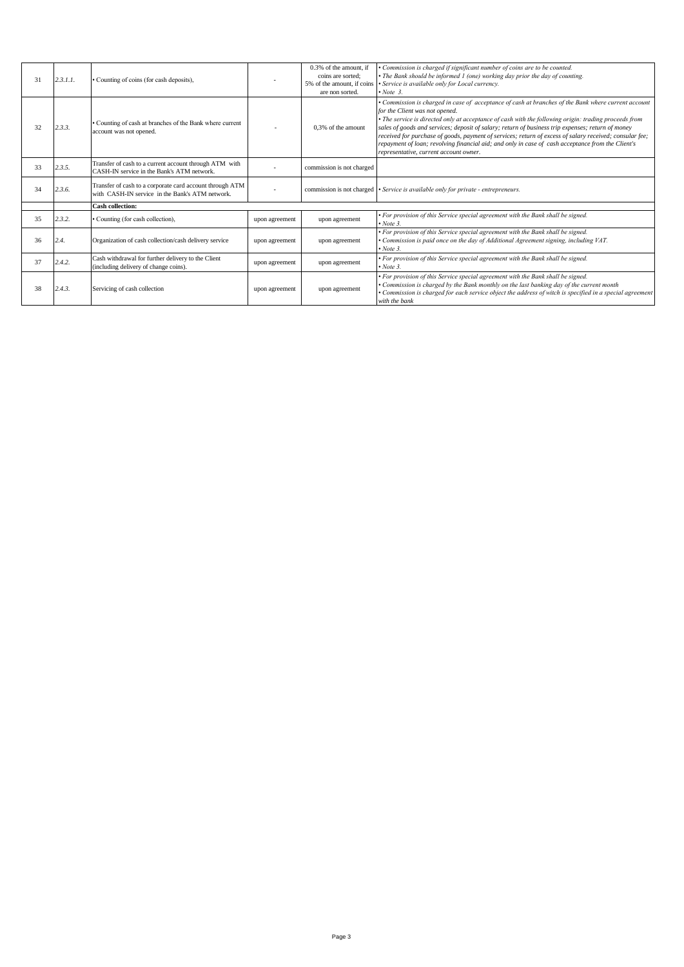| 31 | 2.3.1.1. | Counting of coins (for cash deposits),                                                                      |                | 0.3% of the amount, if<br>coins are sorted:<br>5% of the amount, if coins | · Commission is charged if significant number of coins are to be counted.<br>• The Bank should be informed 1 (one) working day prior the day of counting.<br>• Service is available only for Local currency.                                                                                                                                                                                                                                                                                                                                                                                                  |
|----|----------|-------------------------------------------------------------------------------------------------------------|----------------|---------------------------------------------------------------------------|---------------------------------------------------------------------------------------------------------------------------------------------------------------------------------------------------------------------------------------------------------------------------------------------------------------------------------------------------------------------------------------------------------------------------------------------------------------------------------------------------------------------------------------------------------------------------------------------------------------|
|    |          |                                                                                                             |                | are non sorted.                                                           | $\cdot$ Note 3.                                                                                                                                                                                                                                                                                                                                                                                                                                                                                                                                                                                               |
| 32 | 2.3.3.   | Counting of cash at branches of the Bank where current<br>account was not opened.                           |                | 0.3% of the amount                                                        | • Commission is charged in case of acceptance of cash at branches of the Bank where current account<br>for the Client was not opened.<br>• The service is directed only at acceptance of cash with the following origin: trading proceeds from<br>sales of goods and services; deposit of salary; return of business trip expenses; return of money<br>received for purchase of goods, payment of services; return of excess of salary received; consular fee;<br>repayment of loan; revolving financial aid; and only in case of cash acceptance from the Client's<br>representative, current account owner. |
| 33 | 2.3.5.   | Transfer of cash to a current account through ATM with<br>CASH-IN service in the Bank's ATM network.        |                | commission is not charged                                                 |                                                                                                                                                                                                                                                                                                                                                                                                                                                                                                                                                                                                               |
| 34 | 2.3.6.   | Transfer of cash to a corporate card account through ATM<br>with CASH-IN service in the Bank's ATM network. | ٠              |                                                                           | commission is not charged • Service is available only for private - entrepreneurs.                                                                                                                                                                                                                                                                                                                                                                                                                                                                                                                            |
|    |          | <b>Cash collection:</b>                                                                                     |                |                                                                           |                                                                                                                                                                                                                                                                                                                                                                                                                                                                                                                                                                                                               |
| 35 | 2.3.2.   | Counting (for cash collection),                                                                             | upon agreement | upon agreement                                                            | • For provision of this Service special agreement with the Bank shall be signed.<br>$\cdot$ Note 3.                                                                                                                                                                                                                                                                                                                                                                                                                                                                                                           |
| 36 | 2.4.     | Organization of cash collection/cash delivery service                                                       | upon agreement | upon agreement                                                            | • For provision of this Service special agreement with the Bank shall be signed.<br>• Commission is paid once on the day of Additional Agreement signing, including VAT.<br>$\cdot$ Note 3.                                                                                                                                                                                                                                                                                                                                                                                                                   |
| 37 | 2.4.2.   | Cash withdrawal for further delivery to the Client<br>(including delivery of change coins).                 | upon agreement | upon agreement                                                            | • For provision of this Service special agreement with the Bank shall be signed.<br>$\bullet$ Note 3.                                                                                                                                                                                                                                                                                                                                                                                                                                                                                                         |
| 38 | 2.4.3.   | Servicing of cash collection                                                                                | upon agreement | upon agreement                                                            | • For provision of this Service special agreement with the Bank shall be signed.<br>• Commission is charged by the Bank monthly on the last banking day of the current month<br>• Commission is charged for each service object the address of witch is specified in a special agreement<br>with the bank                                                                                                                                                                                                                                                                                                     |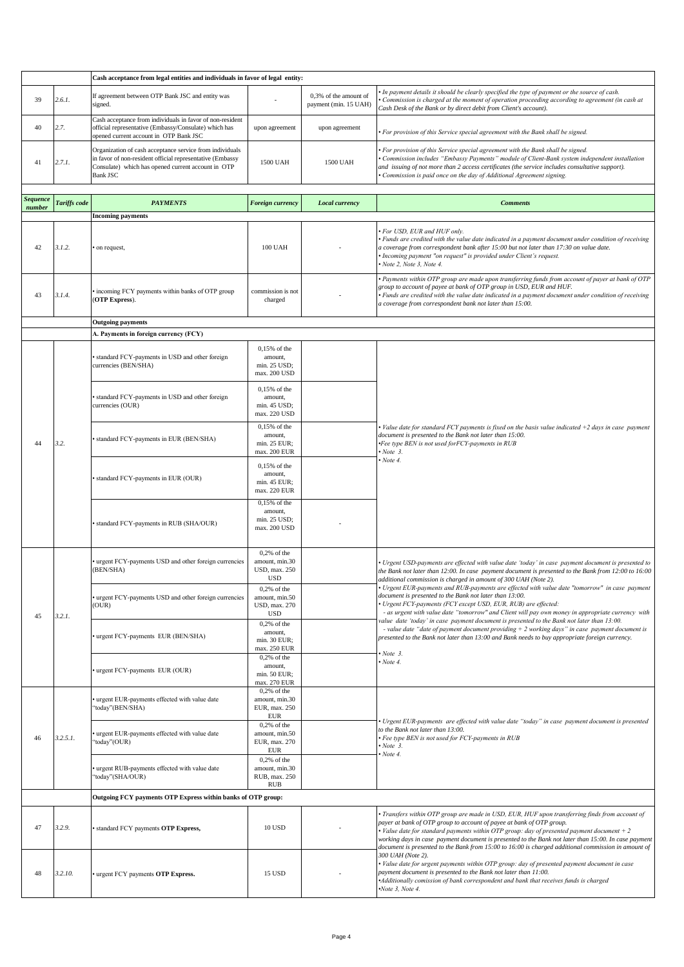|                 |                     | Cash acceptance from legal entities and individuals in favor of legal entity:                                                                                                                  |                                                                                 |                                                |                                                                                                                                                                                                                                                                                                                                                                                                                                                                                    |
|-----------------|---------------------|------------------------------------------------------------------------------------------------------------------------------------------------------------------------------------------------|---------------------------------------------------------------------------------|------------------------------------------------|------------------------------------------------------------------------------------------------------------------------------------------------------------------------------------------------------------------------------------------------------------------------------------------------------------------------------------------------------------------------------------------------------------------------------------------------------------------------------------|
| 39              | 2.6.1.              | If agreement between OTP Bank JSC and entity was<br>signed.                                                                                                                                    |                                                                                 | 0,3% of the amount of<br>payment (min. 15 UAH) | In payment details it should be clearly specified the type of payment or the source of cash.<br>Commission is charged at the moment of operation proceeding according to agreement (in cash at<br>Cash Desk of the Bank or by direct debit from Client's account).                                                                                                                                                                                                                 |
| 40              | 2.7.                | Cash acceptance from individuals in favor of non-resident<br>official representative (Embassy/Consulate) which has<br>opened current account in OTP Bank JSC                                   | upon agreement                                                                  | upon agreement                                 | For provision of this Service special agreement with the Bank shall be signed.                                                                                                                                                                                                                                                                                                                                                                                                     |
| 41              | 2.7.1.              | Organization of cash acceptance service from individuals<br>in favor of non-resident official representative (Embassy<br>Consulate) which has opened current account in OTP<br><b>Bank JSC</b> | 1500 UAH                                                                        | 1500 UAH                                       | For provision of this Service special agreement with the Bank shall be signed.<br>Commission includes "Embassy Payments" module of Client-Bank system independent installation<br>and issuing of not more than 2 access certificates (the service includes consultative support).<br>Commission is paid once on the day of Additional Agreement signing.                                                                                                                           |
| <b>Sequence</b> |                     |                                                                                                                                                                                                |                                                                                 |                                                |                                                                                                                                                                                                                                                                                                                                                                                                                                                                                    |
| number          | <b>Tariffs</b> code | <b>PAYMENTS</b>                                                                                                                                                                                | Foreign currency                                                                | <b>Local currency</b>                          | <b>Comments</b>                                                                                                                                                                                                                                                                                                                                                                                                                                                                    |
|                 |                     | <b>Incoming payments</b>                                                                                                                                                                       |                                                                                 |                                                |                                                                                                                                                                                                                                                                                                                                                                                                                                                                                    |
| 42              | 3.1.2.              | on request,                                                                                                                                                                                    | 100 UAH                                                                         |                                                | · For USD, EUR and HUF only.<br>Funds are credited with the value date indicated in a payment document under condition of receiving<br>a coverage from correspondent bank after 15:00 but not later than 17:30 on value date.<br>Incoming payment "on request" is provided under Client's request.<br>Note 2, Note 3, Note 4.                                                                                                                                                      |
| 43              | 3.1.4.              | incoming FCY payments within banks of OTP group<br>(OTP Express).                                                                                                                              | commission is not<br>charged                                                    |                                                | Payments within OTP group are made upon transferring funds from account of payer at bank of OTP<br>group to account of payee at bank of OTP group in USD, EUR and HUF.<br>Funds are credited with the value date indicated in a payment document under condition of receiving<br>a coverage from correspondent bank not later than 15:00.                                                                                                                                          |
|                 |                     | <b>Outgoing payments</b>                                                                                                                                                                       |                                                                                 |                                                |                                                                                                                                                                                                                                                                                                                                                                                                                                                                                    |
|                 |                     | A. Payments in foreign currency (FCY)                                                                                                                                                          |                                                                                 |                                                |                                                                                                                                                                                                                                                                                                                                                                                                                                                                                    |
|                 |                     | standard FCY-payments in USD and other foreign<br>currencies (BEN/SHA)                                                                                                                         | 0,15% of the<br>amount,<br>min. 25 USD;<br>max. 200 USD                         |                                                |                                                                                                                                                                                                                                                                                                                                                                                                                                                                                    |
|                 | 3.2.                | standard FCY-payments in USD and other foreign<br>currencies (OUR)                                                                                                                             | $0,15%$ of the<br>amount,<br>min. 45 USD;<br>max. 220 USD                       |                                                |                                                                                                                                                                                                                                                                                                                                                                                                                                                                                    |
| 44              |                     | standard FCY-payments in EUR (BEN/SHA)                                                                                                                                                         | $0,15%$ of the<br>amount,<br>min. 25 EUR;<br>max. 200 EUR                       |                                                | Value date for standard FCY payments is fixed on the basis value indicated +2 days in case payment<br>document is presented to the Bank not later than 15:00.<br>·Fee type BEN is not used forFCY-payments in RUB<br>Note 3.                                                                                                                                                                                                                                                       |
|                 |                     | standard FCY-payments in EUR (OUR)                                                                                                                                                             | 0,15% of the<br>amount,<br>min. 45 EUR;<br>max. 220 EUR                         |                                                | $\cdot$ Note 4.                                                                                                                                                                                                                                                                                                                                                                                                                                                                    |
|                 |                     | standard FCY-payments in RUB (SHA/OUR)                                                                                                                                                         | $0,15%$ of the<br>amount,<br>min. 25 USD;<br>max. 200 USD                       |                                                |                                                                                                                                                                                                                                                                                                                                                                                                                                                                                    |
|                 |                     | urgent FCY-payments USD and other foreign currencies<br>(BEN/SHA)                                                                                                                              | $0,2%$ of the<br>amount, min.30<br>USD, max. 250<br><b>USD</b>                  |                                                | Urgent USD-payments are effected with value date 'today' in case payment document is presented to<br>the Bank not later than 12:00. In case payment document is presented to the Bank from 12:00 to 16:00<br>additional commission is charged in amount of 300 UAH (Note 2).                                                                                                                                                                                                       |
| 45              | 3.2.1.              | urgent FCY-payments USD and other foreign currencies<br>(OUR)                                                                                                                                  | $0,2%$ of the<br>amount, min.50<br>USD, max. 270<br><b>USD</b>                  |                                                | • Urgent EUR-payments and RUB-payments are effected with value date "tomorrow" in case payment<br>document is presented to the Bank not later than 13:00.<br>Urgent FCY-payments (FCY except USD, EUR, RUB) are effected:<br>- as urgent with value date "tomorrow" and Client will pay own money in appropriate currency with                                                                                                                                                     |
|                 |                     | urgent FCY-payments EUR (BEN/SHA)                                                                                                                                                              | $0,2%$ of the<br>amount,<br>min. 30 EUR;<br>max. 250 EUR                        |                                                | value date 'today' in case payment document is presented to the Bank not later than 13:00.<br>- value date "date of payment document providing $+ 2$ working days" in case payment document is<br>presented to the Bank not later than 13:00 and Bank needs to buy appropriate foreign currency.<br>Note 3.                                                                                                                                                                        |
|                 |                     | urgent FCY-payments EUR (OUR)                                                                                                                                                                  | $0,2%$ of the<br>amount,<br>min. 50 EUR;<br>max. 270 EUR                        |                                                | Note 4.                                                                                                                                                                                                                                                                                                                                                                                                                                                                            |
|                 |                     | urgent EUR-payments effected with value date<br>'today"(BEN/SHA)                                                                                                                               | $0,2%$ of the<br>amount, min.30<br>EUR, max. 250<br><b>EUR</b><br>$0,2%$ of the |                                                | Urgent EUR-payments are effected with value date "today" in case payment document is presented                                                                                                                                                                                                                                                                                                                                                                                     |
| 46              | 3.2.5.1.            | urgent EUR-payments effected with value date<br>'today''(OUR)                                                                                                                                  | amount, min.50<br>EUR, max. 270<br>EUR                                          |                                                | to the Bank not later than 13:00.<br>· Fee type BEN is not used for FCY-payments in RUB<br>$\cdot$ Note 3.<br>Note 4.                                                                                                                                                                                                                                                                                                                                                              |
|                 |                     | urgent RUB-payments effected with value date<br>'today"(SHA/OUR)                                                                                                                               | $0,2%$ of the<br>amount, min.30<br>RUB, max. 250<br>RUB                         |                                                |                                                                                                                                                                                                                                                                                                                                                                                                                                                                                    |
|                 |                     | Outgoing FCY payments OTP Express within banks of OTP group:                                                                                                                                   |                                                                                 |                                                |                                                                                                                                                                                                                                                                                                                                                                                                                                                                                    |
| 47              | 3.2.9.              | standard FCY payments OTP Express,                                                                                                                                                             | 10 USD                                                                          |                                                | Transfers within OTP group are made in USD, EUR, HUF upon transferring finds from account of<br>payer at bank of OTP group to account of payee at bank of OTP group.<br>• Value date for standard payments within OTP group: day of presented payment document $+2$<br>working days in case payment document is presented to the Bank not later than 15:00. In case payment<br>document is presented to the Bank from 15:00 to 16:00 is charged additional commission in amount of |
| 48              | 3.2.10.             | urgent FCY payments OTP Express.                                                                                                                                                               | 15 USD                                                                          |                                                | 300 UAH (Note 2).<br>Value date for urgent payments within OTP group: day of presented payment document in case<br>payment document is presented to the Bank not later than 11:00.<br>*Additionally comission of bank correspondent and bank that receives funds is charged<br>Note 3, Note 4.                                                                                                                                                                                     |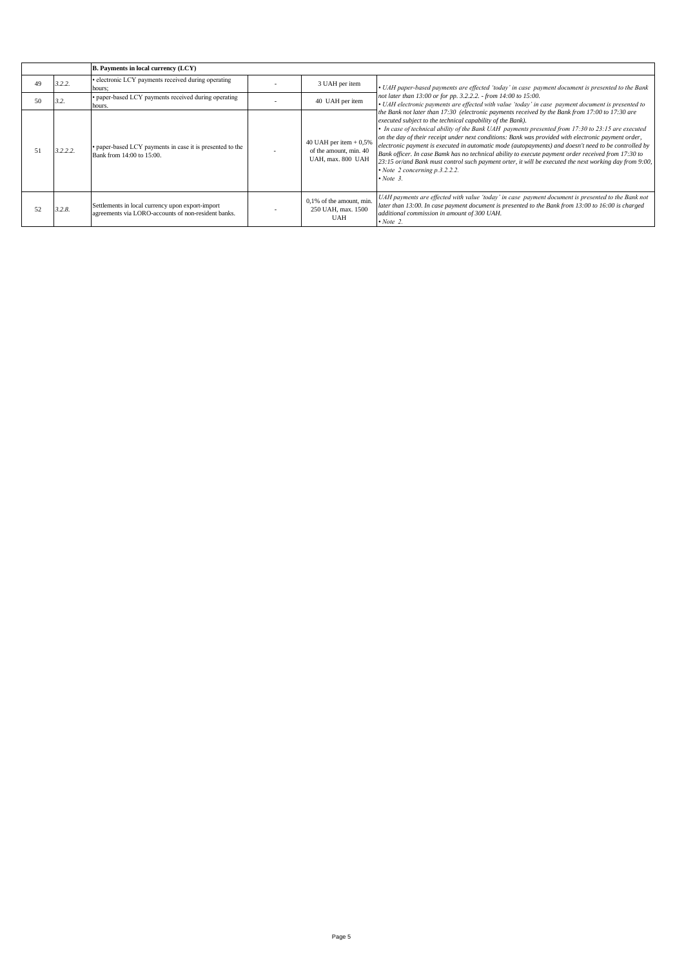|    |          | <b>B.</b> Payments in local currency (LCY)                                                              |                                                                        |                                                                                                                                                                                                                                                                                                                                                                                                                                                                                                                                                                                                                                                                                                                                                              |
|----|----------|---------------------------------------------------------------------------------------------------------|------------------------------------------------------------------------|--------------------------------------------------------------------------------------------------------------------------------------------------------------------------------------------------------------------------------------------------------------------------------------------------------------------------------------------------------------------------------------------------------------------------------------------------------------------------------------------------------------------------------------------------------------------------------------------------------------------------------------------------------------------------------------------------------------------------------------------------------------|
| 49 | 3.2.2.   | • electronic LCY payments received during operating<br>hours;                                           | 3 UAH per item                                                         | • UAH paper-based payments are effected 'today' in case payment document is presented to the Bank                                                                                                                                                                                                                                                                                                                                                                                                                                                                                                                                                                                                                                                            |
| 50 | 3.2.     | · paper-based LCY payments received during operating<br>hours.                                          | 40 UAH per item                                                        | not later than 13:00 or for pp. 3.2.2.2. - from 14:00 to 15:00.<br>• UAH electronic payments are effected with value 'today' in case payment document is presented to                                                                                                                                                                                                                                                                                                                                                                                                                                                                                                                                                                                        |
| 51 | 3.2.2.2. | • paper-based LCY payments in case it is presented to the<br>Bank from 14:00 to 15:00.                  | 40 UAH per item $+0,5%$<br>of the amount, min. 40<br>UAH, max. 800 UAH | the Bank not later than 17:30 (electronic payments received by the Bank from 17:00 to 17:30 are<br>executed subject to the technical capability of the Bank).<br>In case of technical ability of the Bank UAH payments presented from 17:30 to 23:15 are executed<br>on the day of their receipt under next conditions: Bank was provided with electronic payment order,<br>electronic payment is executed in automatic mode (autopayments) and doesn't need to be controlled by<br>Bank officer. In case Bamk has no technical ability to execute payment order received from 17:30 to<br>23:15 or/and Bank must control such payment orter, it will be executed the next working day from 9:00,<br>$\cdot$ Note 2 concerning p.3.2.2.2.<br>$\cdot$ Note 3. |
| 52 | 3.2.8.   | Settlements in local currency upon export-import<br>agreements via LORO-accounts of non-resident banks. | 0,1% of the amount, min.<br>250 UAH, max. 1500<br><b>UAH</b>           | UAH payments are effected with value 'today' in case payment document is presented to the Bank not<br>later than 13:00. In case payment document is presented to the Bank from 13:00 to 16:00 is charged<br>additional commission in amount of 300 UAH.<br>$\cdot$ Note 2.                                                                                                                                                                                                                                                                                                                                                                                                                                                                                   |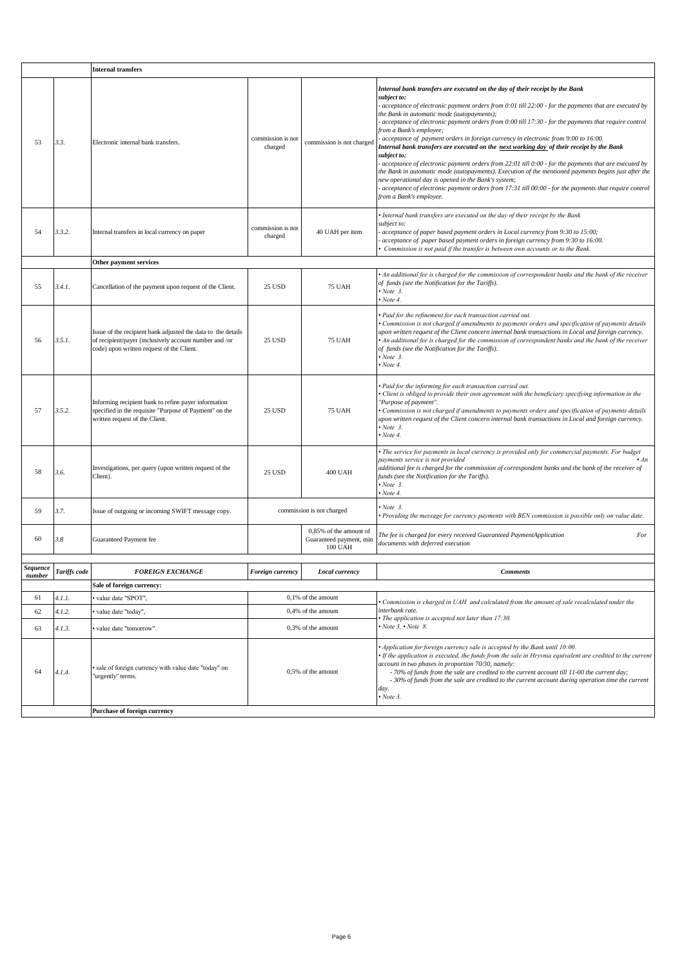|                    |              | <b>Internal transfers</b>                                                                                                                                           |                              |                                                              |                                                                                                                                                                                                                                                                                                                                                                                                                                                                                                                                                                                                                                                                                                                                                                                                                                                                                                                                                                                                              |
|--------------------|--------------|---------------------------------------------------------------------------------------------------------------------------------------------------------------------|------------------------------|--------------------------------------------------------------|--------------------------------------------------------------------------------------------------------------------------------------------------------------------------------------------------------------------------------------------------------------------------------------------------------------------------------------------------------------------------------------------------------------------------------------------------------------------------------------------------------------------------------------------------------------------------------------------------------------------------------------------------------------------------------------------------------------------------------------------------------------------------------------------------------------------------------------------------------------------------------------------------------------------------------------------------------------------------------------------------------------|
| 53                 | 3.3.         | Electronic internal bank transfers.                                                                                                                                 | commission is not<br>charged | commission is not charged                                    | Internal bank transfers are executed on the day of their receipt by the Bank<br>subject to:<br>acceptance of electronic payment orders from 0:01 till 22:00 - for the payments that are executed by<br>the Bank in automatic mode (autopayments);<br>acceptance of electronic payment orders from 0:00 till 17:30 - for the payments that require control<br>from a Bank's employee;<br>acceptance of payment orders in foreign currency in electronic from 9:00 to 16:00.<br>Internal bank transfers are executed on the <u>next working day</u> of their receipt by the Bank<br>subject to:<br>acceptance of electronic payment orders from 22:01 till 0:00 - for the payments that are executed by<br>the Bank in automatic mode (autopayments). Execution of the mentioned payments begins just after the<br>new operational day is opened in the Bank's system;<br>acceptance of electronic payment orders from $17:31$ till $00:00$ - for the payments that require control<br>from a Bank's employee. |
| 54                 | 3.3.2.       | Internal transfers in local currency on paper                                                                                                                       | commission is not<br>charged | 40 UAH per item                                              | Internal bank transfers are executed on the day of their receipt by the Bank<br>subject to:<br>acceptance of paper based payment orders in Local currency from 9:30 to 15:00;<br>acceptance of paper based payment orders in foreign currency from 9:30 to 16:00.<br>Commission is not paid if the transfer is between own accounts or to the Bank.                                                                                                                                                                                                                                                                                                                                                                                                                                                                                                                                                                                                                                                          |
|                    |              | Other payment services                                                                                                                                              |                              |                                                              |                                                                                                                                                                                                                                                                                                                                                                                                                                                                                                                                                                                                                                                                                                                                                                                                                                                                                                                                                                                                              |
| 55                 | 3.4.1.       | Cancellation of the payment upon request of the Client.                                                                                                             | 25 USD                       | <b>75 UAH</b>                                                | An additional fee is charged for the commission of correspondent banks and the bank of the receiver<br>of funds (see the Notification for the Tariffs).<br>Note 3.<br>Note 4.                                                                                                                                                                                                                                                                                                                                                                                                                                                                                                                                                                                                                                                                                                                                                                                                                                |
| 56                 | 3.5.1.       | Issue of the recipient bank adjusted the data to the details<br>of recipient/payer (inclusively account number and /or<br>code) upon written request of the Client. | <b>25 USD</b>                | <b>75 UAH</b>                                                | · Paid for the refinement for each transaction carried out.<br>Commission is not charged if amendments to payments orders and specification of payments details<br>upon written request of the Client concern internal bank transactions in Local and foreign currency.<br>• An additional fee is charged for the commission of correspondent banks and the bank of the receiver<br>of funds (see the Notification for the Tariffs).<br>$\cdot$ Note 3.<br>Note 4.                                                                                                                                                                                                                                                                                                                                                                                                                                                                                                                                           |
| 57                 | 3.5.2.       | Informing recipient bank to refine payer information<br>specified in the requisite "Purpose of Payment" on the<br>written request of the Client.                    | <b>25 USD</b>                | <b>75 UAH</b>                                                | Paid for the informing for each transaction carried out.<br>Client is obliged to provide their own agreement with the beneficiary specifying information in the<br>"Purpose of payment".<br>Commission is not charged if amendments to payments orders and specification of payments details<br>upon written request of the Client concern internal bank transactions in Local and foreign currency.<br>$\cdot$ Note 3.<br>Note 4.                                                                                                                                                                                                                                                                                                                                                                                                                                                                                                                                                                           |
| 58                 | 3.6.         | Investigations, per query (upon written request of the<br>Client).                                                                                                  | 25 USD                       | <b>400 UAH</b>                                               | The service for payments in local currency is provided only for commercial payments. For budget<br>payments service is not provided<br>$\cdot$ An<br>additional fee is charged for the commission of correspondent banks and the bank of the receiver of<br>funds (see the Notification for the Tariffs).<br>Note 3.<br>Note 4.                                                                                                                                                                                                                                                                                                                                                                                                                                                                                                                                                                                                                                                                              |
| 59                 | 3.7.         | Issue of outgoing or incoming SWIFT message copy.                                                                                                                   |                              | commission is not charged                                    | Note 3.<br>Providing the message for currency payments with BEN commission is possible only on value date.                                                                                                                                                                                                                                                                                                                                                                                                                                                                                                                                                                                                                                                                                                                                                                                                                                                                                                   |
| 60                 | 3.8          | Guaranteed Payment fee                                                                                                                                              |                              | 0,85% of the amount of<br>Guaranteed payment, min<br>100 UAH | The fee is charged for every received Guaranteed PaymentApplication<br>For<br>documents with deferred execution                                                                                                                                                                                                                                                                                                                                                                                                                                                                                                                                                                                                                                                                                                                                                                                                                                                                                              |
| Sequence<br>number | Tariffs code | <b>FOREIGN EXCHANGE</b>                                                                                                                                             | Foreign currency             | Local currency                                               | <b>Comments</b>                                                                                                                                                                                                                                                                                                                                                                                                                                                                                                                                                                                                                                                                                                                                                                                                                                                                                                                                                                                              |
|                    |              | Sale of foreign currency:                                                                                                                                           |                              |                                                              |                                                                                                                                                                                                                                                                                                                                                                                                                                                                                                                                                                                                                                                                                                                                                                                                                                                                                                                                                                                                              |
| 61                 | 4.1.1.       | value date "SPOT",                                                                                                                                                  |                              | $0,1%$ of the amount                                         | Commission is charged in UAH and calculated from the amount of sale recalculated under the                                                                                                                                                                                                                                                                                                                                                                                                                                                                                                                                                                                                                                                                                                                                                                                                                                                                                                                   |
| 62                 | 4.1.2.       | value date "today",                                                                                                                                                 | 0,4% of the amount           |                                                              | interbank rate.                                                                                                                                                                                                                                                                                                                                                                                                                                                                                                                                                                                                                                                                                                                                                                                                                                                                                                                                                                                              |
| 63                 | 4.1.3.       | value date "tomorrow".                                                                                                                                              |                              | 0.3% of the amount                                           | The application is accepted not later than 17:30.<br>$\bullet$ Note 3, $\bullet$ Note 8.                                                                                                                                                                                                                                                                                                                                                                                                                                                                                                                                                                                                                                                                                                                                                                                                                                                                                                                     |
| 64                 | 4.1.4.       | sale of foreign currency with value date "today" on<br>'urgently" terms.                                                                                            |                              | 0,5% of the amount                                           | Application for foreign currency sale is accepted by the Bank until 10:00.<br>If the application is executed, the funds from the sale in Hryvnia equivalent are credited to the current<br>account in two phases in proportion 70/30, namely:<br>- 70% of funds from the sale are credited to the current account till 11-00 the current day;<br>- 30% of funds from the sale are credited to the current account during operation time the current<br>day.<br>$\cdot$ Note 3.                                                                                                                                                                                                                                                                                                                                                                                                                                                                                                                               |
|                    |              | Purchase of foreign currency                                                                                                                                        |                              |                                                              |                                                                                                                                                                                                                                                                                                                                                                                                                                                                                                                                                                                                                                                                                                                                                                                                                                                                                                                                                                                                              |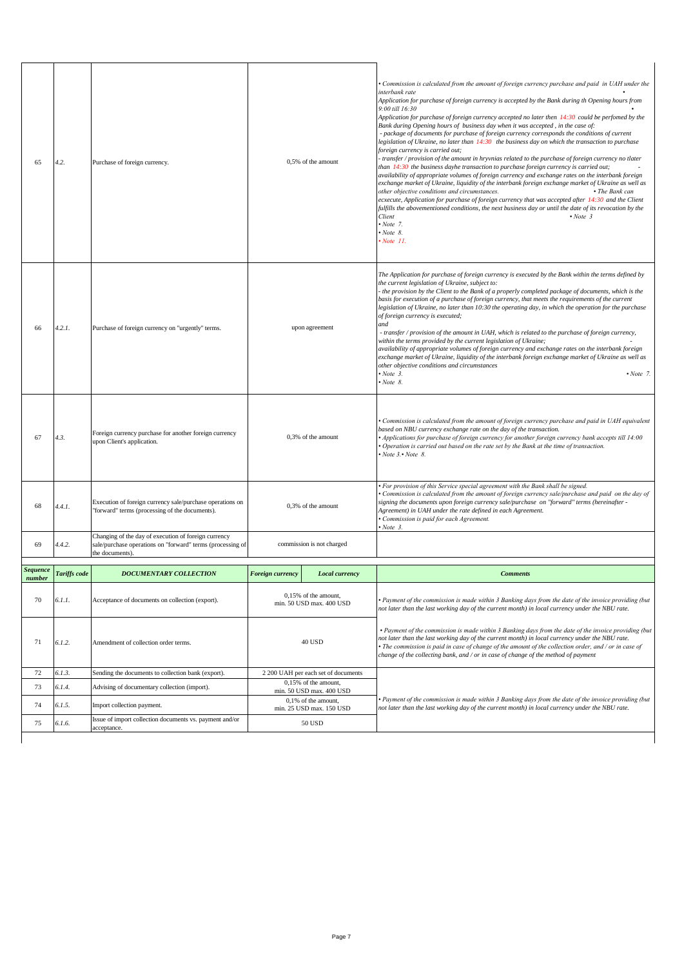|                           |                     | Issue of import collection documents vs. payment and/or                                                                               |                    | min. 25 USD max. 150 USD                                    |                                                                                                                                                                                                                                                                                                                                                                                                                                                                                                                                                                                                                                                                                                                                                                                                                                                                                                                                                                                                                                                                                                                                                                                                                                                                                                                                                                                                                                                           |
|---------------------------|---------------------|---------------------------------------------------------------------------------------------------------------------------------------|--------------------|-------------------------------------------------------------|-----------------------------------------------------------------------------------------------------------------------------------------------------------------------------------------------------------------------------------------------------------------------------------------------------------------------------------------------------------------------------------------------------------------------------------------------------------------------------------------------------------------------------------------------------------------------------------------------------------------------------------------------------------------------------------------------------------------------------------------------------------------------------------------------------------------------------------------------------------------------------------------------------------------------------------------------------------------------------------------------------------------------------------------------------------------------------------------------------------------------------------------------------------------------------------------------------------------------------------------------------------------------------------------------------------------------------------------------------------------------------------------------------------------------------------------------------------|
| 74                        | 6.1.5.              | Import collection payment.                                                                                                            |                    | min. 50 USD max. 400 USD<br>0,1% of the amount,             | Payment of the commission is made within 3 Banking days from the date of the invoice providing (but<br>not later than the last working day of the current month) in local currency under the NBU rate.                                                                                                                                                                                                                                                                                                                                                                                                                                                                                                                                                                                                                                                                                                                                                                                                                                                                                                                                                                                                                                                                                                                                                                                                                                                    |
| 72<br>73                  | 6.1.3.<br>6.1.4.    | Sending the documents to collection bank (export).<br>Advising of documentary collection (import).                                    |                    | 2 200 UAH per each set of documents<br>0,15% of the amount, |                                                                                                                                                                                                                                                                                                                                                                                                                                                                                                                                                                                                                                                                                                                                                                                                                                                                                                                                                                                                                                                                                                                                                                                                                                                                                                                                                                                                                                                           |
| 71                        | 6.1.2.              | Amendment of collection order terms.                                                                                                  | <b>40 USD</b>      |                                                             | • Payment of the commission is made within 3 Banking days from the date of the invoice providing (but<br>not later than the last working day of the current month) in local currency under the NBU rate.<br>The commission is paid in case of change of the amount of the collection order, and / or in case of<br>change of the collecting bank, and / or in case of change of the method of payment                                                                                                                                                                                                                                                                                                                                                                                                                                                                                                                                                                                                                                                                                                                                                                                                                                                                                                                                                                                                                                                     |
| 70                        | 6.1.1.              | Acceptance of documents on collection (export).                                                                                       |                    | $0,15%$ of the amount,<br>min. 50 USD max. 400 USD          | Payment of the commission is made within 3 Banking days from the date of the invoice providing (but<br>not later than the last working day of the current month) in local currency under the NBU rate.                                                                                                                                                                                                                                                                                                                                                                                                                                                                                                                                                                                                                                                                                                                                                                                                                                                                                                                                                                                                                                                                                                                                                                                                                                                    |
| <b>Sequence</b><br>number | <b>Tariffs code</b> | <b>DOCUMENTARY COLLECTION</b>                                                                                                         | Foreign currency   | Local currency                                              | <b>Comments</b>                                                                                                                                                                                                                                                                                                                                                                                                                                                                                                                                                                                                                                                                                                                                                                                                                                                                                                                                                                                                                                                                                                                                                                                                                                                                                                                                                                                                                                           |
| 69                        | 4.4.2.              | Changing of the day of execution of foreign currency<br>sale/purchase operations on "forward" terms (processing of<br>the documents). |                    | commission is not charged                                   |                                                                                                                                                                                                                                                                                                                                                                                                                                                                                                                                                                                                                                                                                                                                                                                                                                                                                                                                                                                                                                                                                                                                                                                                                                                                                                                                                                                                                                                           |
| 68                        | 4.4.1.              | Execution of foreign currency sale/purchase operations on<br>'forward" terms (processing of the documents).                           |                    | 0,3% of the amount                                          | For provision of this Service special agreement with the Bank shall be signed.<br>Commission is calculated from the amount of foreign currency sale/purchase and paid on the day of<br>signing the documents upon foreign currency sale/purchase on "forward" terms (hereinafter -<br>Agreement) in UAH under the rate defined in each Agreement.<br>Commission is paid for each Agreement.<br>Note 3.                                                                                                                                                                                                                                                                                                                                                                                                                                                                                                                                                                                                                                                                                                                                                                                                                                                                                                                                                                                                                                                    |
| 67                        | 4.3.                | Foreign currency purchase for another foreign currency<br>upon Client's application.                                                  | 0,3% of the amount |                                                             | Commission is calculated from the amount of foreign currency purchase and paid in UAH equivalent (•<br>based on NBU currency exchange rate on the day of the transaction.<br>Applications for purchase of foreign currency for another foreign currency bank accepts till 14:00 ^<br>Operation is carried out based on the rate set by the Bank at the time of transaction.<br>$Note 3. \cdot Note 8.$                                                                                                                                                                                                                                                                                                                                                                                                                                                                                                                                                                                                                                                                                                                                                                                                                                                                                                                                                                                                                                                    |
| 66                        | 4.2.1.              | Purchase of foreign currency on "urgently" terms.                                                                                     | upon agreement     |                                                             | The Application for purchase of foreign currency is executed by the Bank within the terms defined by<br>the current legislation of Ukraine, subject to:<br>the provision by the Client to the Bank of a properly completed package of documents, which is the<br>basis for execution of a purchase of foreign currency, that meets the requirements of the current<br>legislation of Ukraine, no later than 10:30 the operating day, in which the operation for the purchase<br>of foreign currency is executed;<br>and<br>- transfer / provision of the amount in UAH, which is related to the purchase of foreign currency,<br>within the terms provided by the current legislation of Ukraine;<br>availability of appropriate volumes of foreign currency and exchange rates on the interbank foreign<br>exchange market of Ukraine, liquidity of the interbank foreign exchange market of Ukraine as well as<br>other objective conditions and circumstances<br>$v$ Note 3.<br>$\cdot$ Note 7.<br>$\cdot$ Note 8.                                                                                                                                                                                                                                                                                                                                                                                                                                     |
| 65                        | 4.2.                | Purchase of foreign currency.                                                                                                         | 0,5% of the amount |                                                             | Commission is calculated from the amount of foreign currency purchase and paid in UAH under the<br>interbank rate<br>Application for purchase of foreign currency is accepted by the Bank during th Opening hours from<br>9:00 till 16:30<br>Application for purchase of foreign currency accepted no later then 14:30 could be perfomed by the<br>Bank during Opening hours of business day when it was accepted, in the case of:<br>- package of documents for purchase of foreign currency corresponds the conditions of current<br>legislation of Ukraine, no later than 14:30 the business day on which the transaction to purchase<br>foreign currency is carried out;<br>transfer / provision of the amount in hryvnias related to the purchase of foreign currency no tlater<br>than 14:30 the business dayhe transaction to purchase foreign currency is carried out;<br>availability of appropriate volumes of foreign currency and exchange rates on the interbank foreign<br>exchange market of Ukraine, liquidity of the interbank foreign exchange market of Ukraine as well as<br>other objective conditions and circumstances.<br>• The Bank can<br>ecxecute, Application for purchase of foreign currency that was accepted after 14:30 and the Client<br>fulfills the abovementioned conditions, the next business day or until the date of its revocation by the<br>Client<br>$\cdot$ Note 3<br>$\cdot$ Note 7.<br>Note 8.<br>Note 11. |
|                           |                     |                                                                                                                                       |                    |                                                             |                                                                                                                                                                                                                                                                                                                                                                                                                                                                                                                                                                                                                                                                                                                                                                                                                                                                                                                                                                                                                                                                                                                                                                                                                                                                                                                                                                                                                                                           |

 $\mathsf{l}$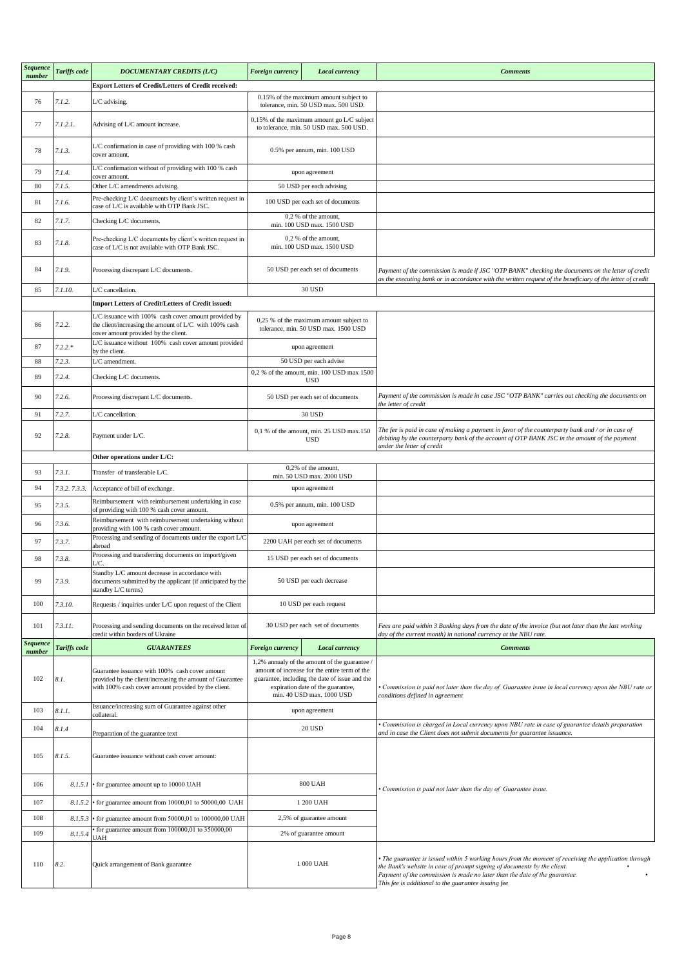| Sequence<br>number | Tariffs code  | <b>DOCUMENTARY CREDITS (L/C)</b>                                                                                                                                   | <b>Foreign currency</b><br><b>Local currency</b>       |                                                                                                                                                                                                                    | <b>Comments</b>                                                                                                                                                                                                                                                                                                      |
|--------------------|---------------|--------------------------------------------------------------------------------------------------------------------------------------------------------------------|--------------------------------------------------------|--------------------------------------------------------------------------------------------------------------------------------------------------------------------------------------------------------------------|----------------------------------------------------------------------------------------------------------------------------------------------------------------------------------------------------------------------------------------------------------------------------------------------------------------------|
|                    |               | <b>Export Letters of Credit/Letters of Credit received:</b>                                                                                                        |                                                        |                                                                                                                                                                                                                    |                                                                                                                                                                                                                                                                                                                      |
| 76                 | 7.1.2.        | L/C advising.                                                                                                                                                      |                                                        | 0.15% of the maximum amount subject to<br>tolerance, min. 50 USD max. 500 USD.                                                                                                                                     |                                                                                                                                                                                                                                                                                                                      |
| 77                 | 7.1.2.1.      | Advising of L/C amount increase.                                                                                                                                   |                                                        | 0,15% of the maximum amount go L/C subject<br>to tolerance, min. 50 USD max. 500 USD.                                                                                                                              |                                                                                                                                                                                                                                                                                                                      |
| 78                 | 7.1.3.        | L/C confirmation in case of providing with 100 % cash<br>cover amount.                                                                                             |                                                        | 0.5% per annum, min. 100 USD                                                                                                                                                                                       |                                                                                                                                                                                                                                                                                                                      |
| 79                 | 7.1.4.        | L/C confirmation without of providing with 100 % cash                                                                                                              |                                                        | upon agreement                                                                                                                                                                                                     |                                                                                                                                                                                                                                                                                                                      |
| 80                 | 7.1.5.        | cover amount.<br>Other L/C amendments advising.                                                                                                                    |                                                        | 50 USD per each advising                                                                                                                                                                                           |                                                                                                                                                                                                                                                                                                                      |
| 81                 | 7.1.6.        | Pre-checking L/C documents by client's written request in                                                                                                          |                                                        | 100 USD per each set of documents                                                                                                                                                                                  |                                                                                                                                                                                                                                                                                                                      |
| 82                 | 7.1.7.        | case of L/C is available with OTP Bank JSC.<br>Checking L/C documents.                                                                                             |                                                        | 0,2 % of the amount,<br>min. 100 USD max. 1500 USD                                                                                                                                                                 |                                                                                                                                                                                                                                                                                                                      |
| 83                 | 7.1.8.        | Pre-checking L/C documents by client's written request in<br>case of L/C is not available with OTP Bank JSC.                                                       |                                                        | $0,2$ % of the amount,<br>min. 100 USD max. 1500 USD                                                                                                                                                               |                                                                                                                                                                                                                                                                                                                      |
| 84                 | 7.1.9.        | Processing discrepant L/C documents.                                                                                                                               |                                                        | 50 USD per each set of documents                                                                                                                                                                                   | Payment of the commission is made if JSC "OTP BANK" checking the documents on the letter of credit<br>as the executing bank or in accordance with the written request of the beneficiary of the letter of credit                                                                                                     |
| 85                 | 7.1.10.       | L/C cancellation.                                                                                                                                                  |                                                        | 30 USD                                                                                                                                                                                                             |                                                                                                                                                                                                                                                                                                                      |
|                    |               | Import Letters of Credit/Letters of Credit issued:                                                                                                                 |                                                        |                                                                                                                                                                                                                    |                                                                                                                                                                                                                                                                                                                      |
| 86                 | 7.2.2.        | L/C issuance with 100% cash cover amount provided by<br>the client/increasing the amount of L/C with 100% cash<br>cover amount provided by the client.             |                                                        | 0,25 % of the maximum amount subject to<br>tolerance, min. 50 USD max. 1500 USD                                                                                                                                    |                                                                                                                                                                                                                                                                                                                      |
| 87                 | $7.2.2.*$     | L/C issuance without 100% cash cover amount provided<br>by the client.                                                                                             |                                                        | upon agreement                                                                                                                                                                                                     |                                                                                                                                                                                                                                                                                                                      |
| 88                 | 7.2.3.        | L/C amendment.                                                                                                                                                     |                                                        | 50 USD per each advise                                                                                                                                                                                             |                                                                                                                                                                                                                                                                                                                      |
| 89                 | 7.2.4.        | Checking L/C documents.                                                                                                                                            |                                                        | 0,2 % of the amount, min. 100 USD max 1500<br><b>USD</b>                                                                                                                                                           |                                                                                                                                                                                                                                                                                                                      |
| 90                 | 7.2.6.        | Processing discrepant L/C documents.                                                                                                                               |                                                        | 50 USD per each set of documents                                                                                                                                                                                   | Payment of the commission is made in case JSC "OTP BANK" carries out checking the documents on<br>the letter of credit                                                                                                                                                                                               |
| 91                 | 7.2.7.        | L/C cancellation.                                                                                                                                                  |                                                        | 30 USD                                                                                                                                                                                                             |                                                                                                                                                                                                                                                                                                                      |
| 92                 | 7.2.8.        | Payment under L/C.                                                                                                                                                 | 0,1 % of the amount, min. 25 USD max.150<br><b>USD</b> |                                                                                                                                                                                                                    | The fee is paid in case of making a payment in favor of the counterparty bank and / or in case of<br>debiting by the counterparty bank of the account of OTP BANK JSC in the amount of the payment<br>under the letter of credit                                                                                     |
|                    |               | Other operations under L/C:                                                                                                                                        |                                                        |                                                                                                                                                                                                                    |                                                                                                                                                                                                                                                                                                                      |
| 93                 | 7.3.1.        | Transfer of transferable L/C.                                                                                                                                      |                                                        | 0,2% of the amount,<br>min. 50 USD max. 2000 USD                                                                                                                                                                   |                                                                                                                                                                                                                                                                                                                      |
| 94                 | 7.3.2. 7.3.3. | Acceptance of bill of exchange.                                                                                                                                    |                                                        | upon agreement                                                                                                                                                                                                     |                                                                                                                                                                                                                                                                                                                      |
| 95                 | 7.3.5.        | Reimbursement with reimbursement undertaking in case<br>of providing with 100 % cash cover amount.                                                                 |                                                        | 0.5% per annum, min. 100 USD                                                                                                                                                                                       |                                                                                                                                                                                                                                                                                                                      |
| 96                 | 7.3.6.        | Reimbursement with reimbursement undertaking without<br>providing with 100 % cash cover amount.                                                                    |                                                        | upon agreement                                                                                                                                                                                                     |                                                                                                                                                                                                                                                                                                                      |
| 97                 | 7.3.7.        | Processing and sending of documents under the export L/C<br>abroad                                                                                                 |                                                        | 2200 UAH per each set of documents                                                                                                                                                                                 |                                                                                                                                                                                                                                                                                                                      |
| 98                 | 7.3.8.        | Processing and transferring documents on import/given<br>Æ.                                                                                                        |                                                        | 15 USD per each set of documents                                                                                                                                                                                   |                                                                                                                                                                                                                                                                                                                      |
| 99                 | 7.3.9.        | Standby L/C amount decrease in accordance with<br>documents submitted by the applicant (if anticipated by the<br>standby L/C terms)                                |                                                        | 50 USD per each decrease                                                                                                                                                                                           |                                                                                                                                                                                                                                                                                                                      |
| 100                | 7.3.10.       | Requests / inquiries under L/C upon request of the Client                                                                                                          |                                                        | 10 USD per each request                                                                                                                                                                                            |                                                                                                                                                                                                                                                                                                                      |
| 101                | 7.3.11.       | Processing and sending documents on the received letter of<br>credit within borders of Ukraine                                                                     |                                                        | 30 USD per each set of documents                                                                                                                                                                                   | Fees are paid within 3 Banking days from the date of the invoice (but not later than the last working<br>day of the current month) in national currency at the NBU rate.                                                                                                                                             |
| Sequence<br>number | Tariffs code  | <b>GUARANTEES</b>                                                                                                                                                  | <b>Foreign currency</b>                                | Local currency                                                                                                                                                                                                     | <b>Comments</b>                                                                                                                                                                                                                                                                                                      |
| 102                | 8.1.          | Guarantee issuance with 100% cash cover amount<br>provided by the client/increasing the amount of Guarantee<br>with 100% cash cover amount provided by the client. |                                                        | 1,2% annualy of the amount of the guarantee /<br>amount of increase for the entire term of the<br>guarantee, including the date of issue and the<br>expiration date of the guarantee,<br>min. 40 USD max. 1000 USD | Commission is paid not later than the day of Guarantee issue in local currency upon the NBU rate or<br>conditions defined in agreement                                                                                                                                                                               |
| 103                | 8.1.1.        | Issuance/increasing sum of Guarantee against other<br>collateral.                                                                                                  | upon agreement                                         |                                                                                                                                                                                                                    |                                                                                                                                                                                                                                                                                                                      |
| 104                | 8.1.4         | Preparation of the guarantee text                                                                                                                                  | 20 USD                                                 |                                                                                                                                                                                                                    | Commission is charged in Local currency upon NBU rate in case of guarantee details preparation<br>and in case the Client does not submit documents for guarantee issuance.                                                                                                                                           |
| 105                | 8.1.5.        | Guarantee issuance without cash cover amount:                                                                                                                      |                                                        |                                                                                                                                                                                                                    |                                                                                                                                                                                                                                                                                                                      |
| 106                |               | 8.1.5.1 • for guarantee amount up to 10000 UAH                                                                                                                     | <b>800 UAH</b>                                         |                                                                                                                                                                                                                    | Commission is paid not later than the day of Guarantee issue.                                                                                                                                                                                                                                                        |
| 107                | 8.1.5.2       | • for guarantee amount from 10000,01 to 50000,00 UAH                                                                                                               | 1 200 UAH                                              |                                                                                                                                                                                                                    |                                                                                                                                                                                                                                                                                                                      |
| 108                | 8.1.5.3       | • for guarantee amount from 50000,01 to 100000,00 UAH                                                                                                              |                                                        | 2,5% of guarantee amount                                                                                                                                                                                           |                                                                                                                                                                                                                                                                                                                      |
| 109                | 8.1.5.4       | for guarantee amount from $100000,01$ to $350000,00$<br>UAH                                                                                                        |                                                        | 2% of guarantee amount                                                                                                                                                                                             |                                                                                                                                                                                                                                                                                                                      |
| 110                | 8.2.          | Quick arrangement of Bank guarantee                                                                                                                                |                                                        | 1 000 UAH                                                                                                                                                                                                          | The guarantee is issued within 5 working hours from the moment of receiving the application through<br>the Bank's website in case of prompt signing of documents by the client.<br>Payment of the commission is made no later than the date of the guarantee.<br>This fee is additional to the guarantee issuing fee |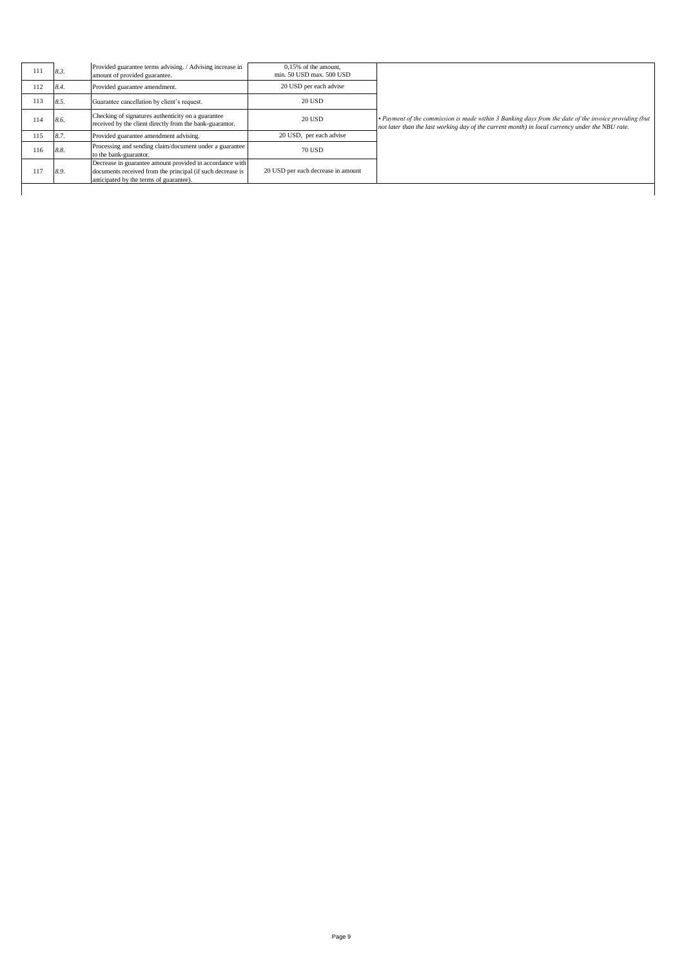| 111 | 8.3. | Provided guarantee terms advising. / Advising increase in<br>amount of provided guarantee.                                                                        | 0,15% of the amount,<br>min. 50 USD max. 500 USD |                                                                                                                                                                                                          |
|-----|------|-------------------------------------------------------------------------------------------------------------------------------------------------------------------|--------------------------------------------------|----------------------------------------------------------------------------------------------------------------------------------------------------------------------------------------------------------|
| 112 | 8.4. | Provided guarantee amendment.                                                                                                                                     | 20 USD per each advise                           |                                                                                                                                                                                                          |
| 113 | 8.5. | Guarantee cancellation by client's request.                                                                                                                       | <b>20 USD</b>                                    |                                                                                                                                                                                                          |
| 114 | 8.6. | Checking of signatures authenticity on a guarantee<br>received by the client directly from the bank-guarantor.                                                    | 20 USD                                           | • Payment of the commission is made within 3 Banking days from the date of the invoice providing (but<br>not later than the last working day of the current month) in local currency under the NBU rate. |
| 115 | 8.7. | Provided guarantee amendment advising.                                                                                                                            | 20 USD, per each advise                          |                                                                                                                                                                                                          |
| 116 | 8.8. | Processing and sending claim/document under a guarantee<br>to the bank-guarantor.                                                                                 | <b>70 USD</b>                                    |                                                                                                                                                                                                          |
| 117 | 8.9. | Decrease in guarantee amount provided in accordance with<br>documents received from the principal (if such decrease is<br>anticipated by the terms of guarantee). | 20 USD per each decrease in amount               |                                                                                                                                                                                                          |
|     |      |                                                                                                                                                                   |                                                  |                                                                                                                                                                                                          |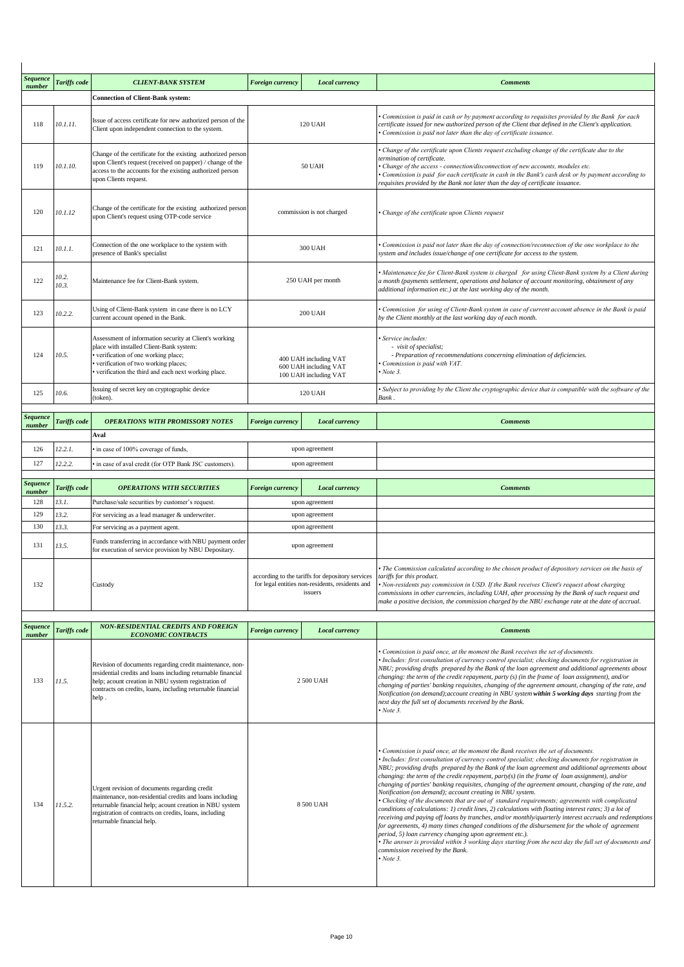| <b>Sequence</b><br>number | Tariffs code   | <b>CLIENT-BANK SYSTEM</b>                                                                                                                                                                                                                                     | Foreign currency                          | Local currency                                                                                                 | <b>Comments</b>                                                                                                                                                                                                                                                                                                                                                                                                                                                                                                                                                                                                                                                                                                                                                                                                                                                                                                                                                                                                                                                                                                                                                                                                          |
|---------------------------|----------------|---------------------------------------------------------------------------------------------------------------------------------------------------------------------------------------------------------------------------------------------------------------|-------------------------------------------|----------------------------------------------------------------------------------------------------------------|--------------------------------------------------------------------------------------------------------------------------------------------------------------------------------------------------------------------------------------------------------------------------------------------------------------------------------------------------------------------------------------------------------------------------------------------------------------------------------------------------------------------------------------------------------------------------------------------------------------------------------------------------------------------------------------------------------------------------------------------------------------------------------------------------------------------------------------------------------------------------------------------------------------------------------------------------------------------------------------------------------------------------------------------------------------------------------------------------------------------------------------------------------------------------------------------------------------------------|
|                           |                | <b>Connection of Client-Bank system:</b>                                                                                                                                                                                                                      |                                           |                                                                                                                |                                                                                                                                                                                                                                                                                                                                                                                                                                                                                                                                                                                                                                                                                                                                                                                                                                                                                                                                                                                                                                                                                                                                                                                                                          |
| 118                       | 10.1.11.       | Issue of access certificate for new authorized person of the<br>Client upon independent connection to the system.                                                                                                                                             |                                           | <b>120 UAH</b>                                                                                                 | Commission is paid in cash or by payment according to requisites provided by the Bank for each<br>certificate issued for new authorized person of the Client that defined in the Client's application.<br>Commission is paid not later than the day of certificate issuance.                                                                                                                                                                                                                                                                                                                                                                                                                                                                                                                                                                                                                                                                                                                                                                                                                                                                                                                                             |
| 119                       | 10.1.10.       | Change of the certificate for the existing authorized person<br>upon Client's request (received on papper) / change of the<br>access to the accounts for the existing authorized person<br>upon Clients request.                                              |                                           | <b>50 UAH</b>                                                                                                  | Change of the certificate upon Clients request excluding change of the certificate due to the<br>termination of certificate.<br>· Change of the access - connection/disconnection of new accounts, modules etc.<br>Commission is paid for each certificate in cash in the Bank's cash desk or by payment according to<br>requisites provided by the Bank not later than the day of certificate issuance.                                                                                                                                                                                                                                                                                                                                                                                                                                                                                                                                                                                                                                                                                                                                                                                                                 |
| 120                       | 10.1.12        | Change of the certificate for the existing authorized person<br>upon Client's request using OTP-code service                                                                                                                                                  |                                           | commission is not charged                                                                                      | • Change of the certificate upon Clients request                                                                                                                                                                                                                                                                                                                                                                                                                                                                                                                                                                                                                                                                                                                                                                                                                                                                                                                                                                                                                                                                                                                                                                         |
| 121                       | 10.1.1.        | Connection of the one workplace to the system with<br>presence of Bank's specialist                                                                                                                                                                           |                                           | <b>300 UAH</b>                                                                                                 | Commission is paid not later than the day of connection/reconnection of the one workplace to the<br>system and includes issue/change of one certificate for access to the system.                                                                                                                                                                                                                                                                                                                                                                                                                                                                                                                                                                                                                                                                                                                                                                                                                                                                                                                                                                                                                                        |
| 122                       | 10.2.<br>10.3. | Maintenance fee for Client-Bank system.                                                                                                                                                                                                                       |                                           | 250 UAH per month                                                                                              | Maintenance fee for Client-Bank system is charged for using Client-Bank system by a Client during<br>a month (payments settlement, operations and balance of account monitoring, obtainment of any<br>additional information etc.) at the last working day of the month.                                                                                                                                                                                                                                                                                                                                                                                                                                                                                                                                                                                                                                                                                                                                                                                                                                                                                                                                                 |
| 123                       | 10.2.2.        | Using of Client-Bank system in case there is no LCY<br>current account opened in the Bank.                                                                                                                                                                    |                                           | <b>200 UAH</b>                                                                                                 | Commission for using of Client-Bank system in case of current account absence in the Bank is paid<br>by the Client monthly at the last working day of each month.                                                                                                                                                                                                                                                                                                                                                                                                                                                                                                                                                                                                                                                                                                                                                                                                                                                                                                                                                                                                                                                        |
| 124                       | 10.5.          | Assessment of information security at Client's working<br>place with installed Client-Bank system:<br>verification of one working place;<br>verification of two working places;<br>verification the third and each next working place.                        |                                           | 400 UAH including VAT<br>600 UAH including VAT<br>100 UAH including VAT                                        | · Service includes:<br>- visit of specialist;<br>- Preparation of recommendations concerning elimination of deficiencies.<br>Commission is paid with VAT.<br>Note 3.                                                                                                                                                                                                                                                                                                                                                                                                                                                                                                                                                                                                                                                                                                                                                                                                                                                                                                                                                                                                                                                     |
| 125                       | 10.6.          | Issuing of secret key on cryptographic device<br>(token).                                                                                                                                                                                                     | 120 UAH                                   |                                                                                                                | · Subject to providing by the Client the cryptographic device that is compatible with the software of the<br>Bank.                                                                                                                                                                                                                                                                                                                                                                                                                                                                                                                                                                                                                                                                                                                                                                                                                                                                                                                                                                                                                                                                                                       |
| Sequence<br>number        | Tariffs code   | <b>OPERATIONS WITH PROMISSORY NOTES</b><br>Aval                                                                                                                                                                                                               | <b>Foreign currency</b><br>Local currency |                                                                                                                | <b>Comments</b>                                                                                                                                                                                                                                                                                                                                                                                                                                                                                                                                                                                                                                                                                                                                                                                                                                                                                                                                                                                                                                                                                                                                                                                                          |
| 126                       | 12.2.1.        | in case of 100% coverage of funds,                                                                                                                                                                                                                            |                                           | upon agreement                                                                                                 |                                                                                                                                                                                                                                                                                                                                                                                                                                                                                                                                                                                                                                                                                                                                                                                                                                                                                                                                                                                                                                                                                                                                                                                                                          |
| 127                       | 12.2.2.        | in case of aval credit (for OTP Bank JSC customers).                                                                                                                                                                                                          |                                           | upon agreement                                                                                                 |                                                                                                                                                                                                                                                                                                                                                                                                                                                                                                                                                                                                                                                                                                                                                                                                                                                                                                                                                                                                                                                                                                                                                                                                                          |
| Sequence                  |                |                                                                                                                                                                                                                                                               |                                           |                                                                                                                |                                                                                                                                                                                                                                                                                                                                                                                                                                                                                                                                                                                                                                                                                                                                                                                                                                                                                                                                                                                                                                                                                                                                                                                                                          |
| number                    | Tariffs code   | <b>OPERATIONS WITH SECURITIES</b>                                                                                                                                                                                                                             | <b>Foreign currency</b>                   | <b>Local currency</b>                                                                                          | <b>Comments</b>                                                                                                                                                                                                                                                                                                                                                                                                                                                                                                                                                                                                                                                                                                                                                                                                                                                                                                                                                                                                                                                                                                                                                                                                          |
| 128<br>129                | 13.1.<br>13.2. | Purchase/sale securities by customer's request.<br>For servicing as a lead manager & underwriter.                                                                                                                                                             |                                           | upon agreement<br>upon agreement                                                                               |                                                                                                                                                                                                                                                                                                                                                                                                                                                                                                                                                                                                                                                                                                                                                                                                                                                                                                                                                                                                                                                                                                                                                                                                                          |
| 130                       | 13.3.          | For servicing as a payment agent.                                                                                                                                                                                                                             |                                           | upon agreement                                                                                                 |                                                                                                                                                                                                                                                                                                                                                                                                                                                                                                                                                                                                                                                                                                                                                                                                                                                                                                                                                                                                                                                                                                                                                                                                                          |
| 131                       | 13.5.          | Funds transferring in accordance with NBU payment order<br>for execution of service provision by NBU Depositary.                                                                                                                                              |                                           | upon agreement                                                                                                 |                                                                                                                                                                                                                                                                                                                                                                                                                                                                                                                                                                                                                                                                                                                                                                                                                                                                                                                                                                                                                                                                                                                                                                                                                          |
| 132                       |                | Custody                                                                                                                                                                                                                                                       |                                           | according to the tariffs for depository services<br>for legal entities non-residents, residents and<br>issuers | The Commission calculated according to the chosen product of depository services on the basis of<br>tariffs for this product.<br>• Non-residents pay commission in USD. If the Bank receives Client's request about charging<br>commissions in other currencies, including UAH, after processing by the Bank of such request and<br>make a positive decision, the commission charged by the NBU exchange rate at the date of accrual.                                                                                                                                                                                                                                                                                                                                                                                                                                                                                                                                                                                                                                                                                                                                                                                    |
| <b>Sequence</b><br>number | Tariffs code   | <b>NON-RESIDENTIAL CREDITS AND FOREIGN</b><br><b>ECONOMIC CONTRACTS</b>                                                                                                                                                                                       | Foreign currency                          | Local currency                                                                                                 | <b>Comments</b>                                                                                                                                                                                                                                                                                                                                                                                                                                                                                                                                                                                                                                                                                                                                                                                                                                                                                                                                                                                                                                                                                                                                                                                                          |
| 133                       | 11.5.          | Revision of documents regarding credit maintenance, non-<br>residential credits and loans including returnable financial<br>help; acount creation in NBU system registration of<br>contracts on credits, loans, including returnable financial<br>help.       |                                           | 2 500 UAH                                                                                                      | • Commission is paid once, at the moment the Bank receives the set of documents.<br>• Includes: first consultation of currency control specialist; checking documents for registration in<br>NBU; providing drafts prepared by the Bank of the loan agreement and additional agreements about<br>changing: the term of the credit repayment, party (s) (in the frame of loan assignment), and/or<br>changing of parties' banking requisites, changing of the agreement amount, changing of the rate, and<br>Notification (on demand); account creating in NBU system within 5 working days starting from the<br>next day the full set of documents received by the Bank.<br>$\cdot$ Note 3.                                                                                                                                                                                                                                                                                                                                                                                                                                                                                                                              |
| 134                       | 11.5.2.        | Urgent revision of documents regarding credit<br>maintenance, non-residential credits and loans including<br>returnable financial help; acount creation in NBU system<br>registration of contracts on credits, loans, including<br>returnable financial help. |                                           | 8 500 UAH                                                                                                      | Commission is paid once, at the moment the Bank receives the set of documents.<br>· Includes: first consultation of currency control specialist; checking documents for registration in<br>NBU; providing drafts prepared by the Bank of the loan agreement and additional agreements about<br>changing: the term of the credit repayment, party(s) (in the frame of loan assignment), and/or<br>changing of parties' banking requisites, changing of the agreement amount, changing of the rate, and<br>Notification (on demand); account creating in NBU system.<br>• Checking of the documents that are out of standard requirements; agreements with complicated<br>conditions of calculations: 1) credit lines, 2) calculations with floating interest rates; 3) a lot of<br>receiving and paying off loans by tranches, and/or monthly/quarterly interest accruals and redemptions<br>for agreements, 4) many times changed conditions of the disbursement for the whole of agreement<br>period, 5) loan currency changing upon agreement etc.).<br>• The answer is provided within 3 working days starting from the next day the full set of documents and<br>commission received by the Bank.<br>$\cdot$ Note 3. |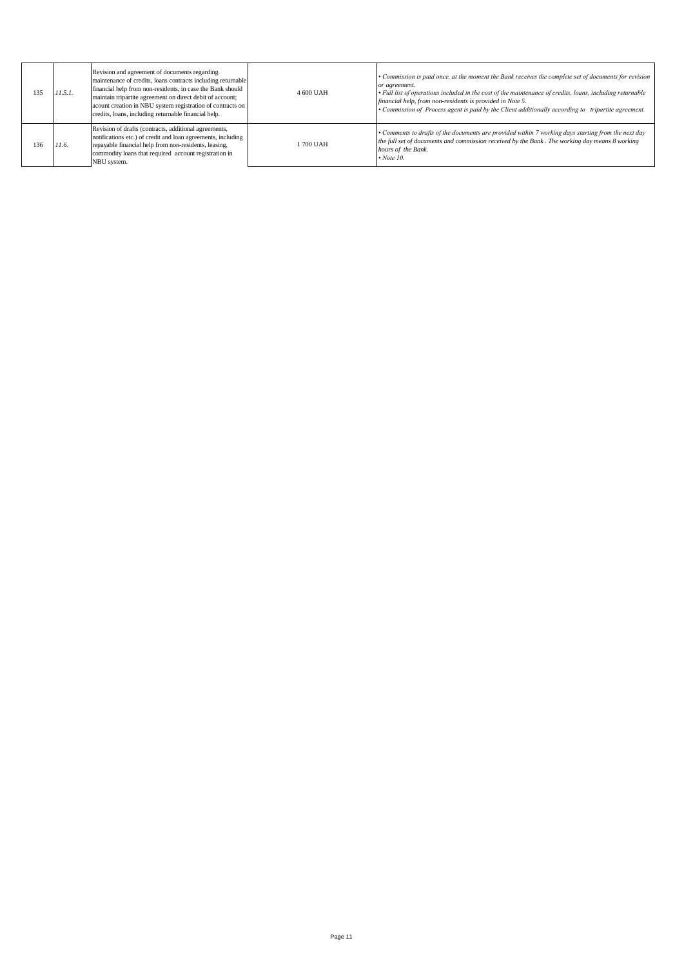| 135 | 11.5.1. | Revision and agreement of documents regarding<br>maintenance of credits, loans contracts including returnable<br>financial help from non-residents, in case the Bank should<br>maintain tripartite agreement on direct debit of account;<br>acount creation in NBU system registration of contracts on<br>credits, loans, including returnable financial help. | 4 600 UAH | • Commission is paid once, at the moment the Bank receives the complete set of documents for revision<br>or agreement.<br>• Full list of operations included in the cost of the maintenance of credits, loans, including returnable<br>financial help, from non-residents is provided in Note 5.<br>• Commission of Process agent is paid by the Client additionally according to tripartite agreement. |
|-----|---------|----------------------------------------------------------------------------------------------------------------------------------------------------------------------------------------------------------------------------------------------------------------------------------------------------------------------------------------------------------------|-----------|---------------------------------------------------------------------------------------------------------------------------------------------------------------------------------------------------------------------------------------------------------------------------------------------------------------------------------------------------------------------------------------------------------|
| 36  | 11.6.   | Revision of drafts (contracts, additional agreements,<br>notifications etc.) of credit and loan agreements, including<br>repayable financial help from non-residents, leasing,<br>commodity loans that required account registration in<br>NBU system.                                                                                                         | 1700 UAH  | • Comments to drafts of the documents are provided within 7 working days starting from the next day<br>the full set of documents and commission received by the Bank. The working day means 8 working<br>hours of the Bank.<br>$\cdot$ Note 10.                                                                                                                                                         |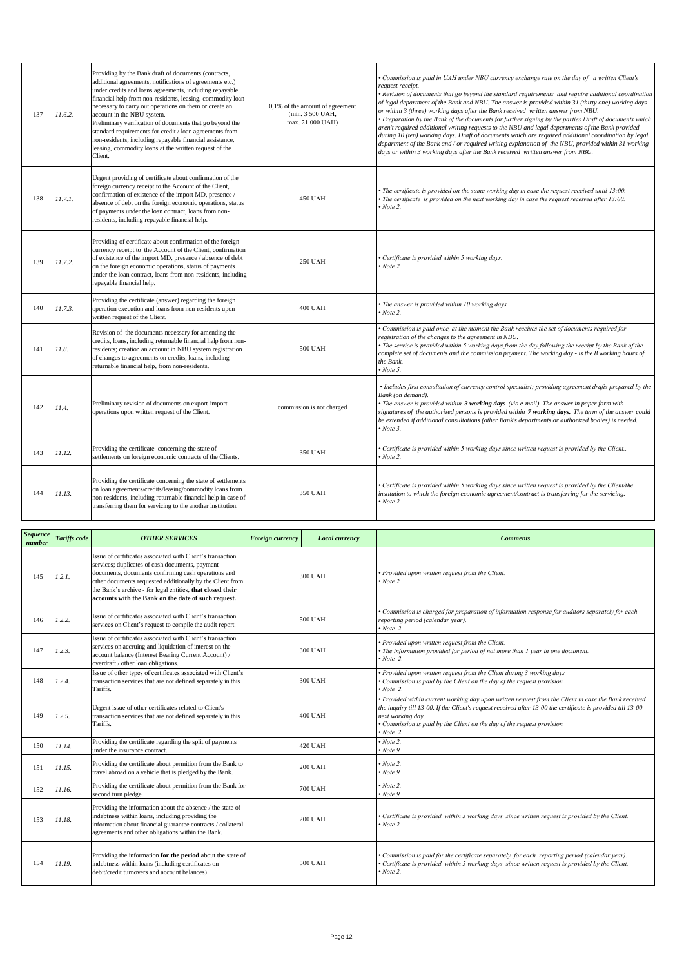| 137 | 11.6.2. | Providing by the Bank draft of documents (contracts,<br>additional agreements, notifications of agreements etc.)<br>under credits and loans agreements, including repayable<br>financial help from non-residents, leasing, commodity loan<br>necessary to carry out operations on them or create an<br>account in the NBU system.<br>Preliminary verification of documents that go beyond the<br>standard requirements for credit / loan agreements from<br>non-residents, including repayable financial assistance,<br>leasing, commodity loans at the written request of the<br>Client. | 0,1% of the amount of agreement<br>(min. 3 500 UAH,<br>max. 21 000 UAH) | Commission is paid in UAH under NBU currency exchange rate on the day of a written Client's<br>request receipt.<br>Revision of documents that go beyond the standard requirements and require additional coordination<br>of legal department of the Bank and NBU. The answer is provided within 31 (thirty one) working days<br>or within 3 (three) working days after the Bank received written answer from NBU.<br>Preparation by the Bank of the documents for further signing by the parties Draft of documents which<br>aren't required additional writing requests to the NBU and legal departments of the Bank provided<br>during 10 (ten) working days. Draft of documents which are required additional coordination by legal<br>department of the Bank and / or required writing explanation of the NBU, provided within 31 working<br>days or within 3 working days after the Bank received written answer from NBU. |
|-----|---------|-------------------------------------------------------------------------------------------------------------------------------------------------------------------------------------------------------------------------------------------------------------------------------------------------------------------------------------------------------------------------------------------------------------------------------------------------------------------------------------------------------------------------------------------------------------------------------------------|-------------------------------------------------------------------------|---------------------------------------------------------------------------------------------------------------------------------------------------------------------------------------------------------------------------------------------------------------------------------------------------------------------------------------------------------------------------------------------------------------------------------------------------------------------------------------------------------------------------------------------------------------------------------------------------------------------------------------------------------------------------------------------------------------------------------------------------------------------------------------------------------------------------------------------------------------------------------------------------------------------------------|
| 138 | 11.7.1. | Urgent providing of certificate about confirmation of the<br>foreign currency receipt to the Account of the Client,<br>confirmation of existence of the import MD, presence /<br>absence of debt on the foreign economic operations, status<br>of payments under the loan contract, loans from non-<br>residents, including repayable financial help.                                                                                                                                                                                                                                     | 450 UAH                                                                 | The certificate is provided on the same working day in case the request received until 13:00.<br>The certificate is provided on the next working day in case the request received after $13:00$ .<br>$\cdot$ Note 2.                                                                                                                                                                                                                                                                                                                                                                                                                                                                                                                                                                                                                                                                                                            |
| 139 | 11.7.2. | Providing of certificate about confirmation of the foreign<br>currency receipt to the Account of the Client, confirmation<br>of existence of the import MD, presence / absence of debt<br>on the foreign economic operations, status of payments<br>under the loan contract, loans from non-residents, including<br>repayable financial help.                                                                                                                                                                                                                                             | <b>250 UAH</b>                                                          | Certificate is provided within 5 working days.<br>Note 2.                                                                                                                                                                                                                                                                                                                                                                                                                                                                                                                                                                                                                                                                                                                                                                                                                                                                       |
| 140 | 11.7.3. | Providing the certificate (answer) regarding the foreign<br>operation execution and loans from non-residents upon<br>written request of the Client.                                                                                                                                                                                                                                                                                                                                                                                                                                       | <b>400 UAH</b>                                                          | The answer is provided within 10 working days.<br>Note 2.                                                                                                                                                                                                                                                                                                                                                                                                                                                                                                                                                                                                                                                                                                                                                                                                                                                                       |
| 141 | 11.8.   | Revision of the documents necessary for amending the<br>credits, loans, including returnable financial help from non-<br>residents; creation an account in NBU system registration<br>of changes to agreements on credits, loans, including<br>returnable financial help, from non-residents.                                                                                                                                                                                                                                                                                             | 500 UAH                                                                 | Commission is paid once, at the moment the Bank receives the set of documents required for<br>registration of the changes to the agreement in NBU.<br>The service is provided within 5 working days from the day following the receipt by the Bank of the<br>complete set of documents and the commission payment. The working day - is the 8 working hours of<br>the Bank.<br>Note 5.                                                                                                                                                                                                                                                                                                                                                                                                                                                                                                                                          |
| 142 | 11.4.   | Preliminary revision of documents on export-import<br>operations upon written request of the Client.                                                                                                                                                                                                                                                                                                                                                                                                                                                                                      | commission is not charged                                               | • Includes first consultation of currency control specialist; providing agreement drafts prepared by the<br>Bank (on demand).<br>The answer is provided within 3 working days (via e-mail). The answer in paper form with<br>signatures of the authorized persons is provided within 7 working days. The term of the answer could<br>be extended if additional consultations (other Bank's departments or authorized bodies) is needed.<br>$\cdot$ Note 3.                                                                                                                                                                                                                                                                                                                                                                                                                                                                      |
| 143 | 11.12.  | Providing the certificate concerning the state of<br>settlements on foreign economic contracts of the Clients.                                                                                                                                                                                                                                                                                                                                                                                                                                                                            | 350 UAH                                                                 | Certificate is provided within 5 working days since written request is provided by the Client<br>Note 2.                                                                                                                                                                                                                                                                                                                                                                                                                                                                                                                                                                                                                                                                                                                                                                                                                        |
| 144 | 11.13.  | Providing the certificate concerning the state of settlements<br>on loan agreements/credits/leasing/commodity loans from<br>non-residents, including returnable financial help in case of<br>transferring them for servicing to the another institution.                                                                                                                                                                                                                                                                                                                                  | 350 UAH                                                                 | Certificate is provided within 5 working days since written request is provided by the Client/the<br>institution to which the foreign economic agreement/contract is transferring for the servicing.<br>Note 2.                                                                                                                                                                                                                                                                                                                                                                                                                                                                                                                                                                                                                                                                                                                 |

| <b>Sequence</b><br>number | <b>Tariffs</b> code | <b>OTHER SERVICES</b>                                                                                                                                                                                                                                                                                                                                  | Foreign currency | Local currency | <b>Comments</b>                                                                                                                                                                                                                                                                                                                                                        |
|---------------------------|---------------------|--------------------------------------------------------------------------------------------------------------------------------------------------------------------------------------------------------------------------------------------------------------------------------------------------------------------------------------------------------|------------------|----------------|------------------------------------------------------------------------------------------------------------------------------------------------------------------------------------------------------------------------------------------------------------------------------------------------------------------------------------------------------------------------|
| 145                       | 1.2.1.              | Issue of certificates associated with Client's transaction<br>services; duplicates of cash documents, payment<br>documents, documents confirming cash operations and<br>other documents requested additionally by the Client from<br>the Bank's archive - for legal entities, that closed their<br>accounts with the Bank on the date of such request. | 300 UAH          |                | · Provided upon written request from the Client.<br>$\cdot$ Note 2.                                                                                                                                                                                                                                                                                                    |
| 146                       | 1.2.2.              | Issue of certificates associated with Client's transaction<br>services on Client's request to compile the audit report.                                                                                                                                                                                                                                | 500 UAH          |                | • Commission is charged for preparation of information response for auditors separately for each<br>reporting period (calendar year).<br>$\cdot$ Note 2.                                                                                                                                                                                                               |
| 147                       | 1.2.3.              | Issue of certificates associated with Client's transaction<br>services on accruing and liquidation of interest on the<br>account balance (Interest Bearing Current Account) /<br>overdraft / other loan obligations.                                                                                                                                   | 300 UAH          |                | · Provided upon written request from the Client.<br>• The information provided for period of not more than 1 year in one document.<br>$\cdot$ Note 2.                                                                                                                                                                                                                  |
| 148                       | 1.2.4.              | Issue of other types of certificates associated with Client's<br>transaction services that are not defined separately in this<br>Tariffs.                                                                                                                                                                                                              | <b>300 UAH</b>   |                | • Provided upon written request from the Client during 3 working days<br>• Commission is paid by the Client on the day of the request provision<br>$\cdot$ Note 2.                                                                                                                                                                                                     |
| 149                       | 1.2.5.              | Urgent issue of other certificates related to Client's<br>transaction services that are not defined separately in this<br>Tariffs.                                                                                                                                                                                                                     | <b>400 UAH</b>   |                | • Provided within current working day upon written request from the Client in case the Bank received<br>the inquiry till $13{\text -}00$ . If the Client's request received after $13{\text -}00$ the certificate is provided till $13{\text -}00$<br>next working day.<br>• Commission is paid by the Client on the day of the request provision<br>$\bullet$ Note 2. |
| 150                       | 11.14.              | Providing the certificate regarding the split of payments<br>under the insurance contract.                                                                                                                                                                                                                                                             |                  | <b>420 UAH</b> | $\cdot$ Note 2.<br>$\cdot$ Note 9.                                                                                                                                                                                                                                                                                                                                     |
| 151                       | 11.15.              | Providing the certificate about permition from the Bank to<br>travel abroad on a vehicle that is pledged by the Bank.                                                                                                                                                                                                                                  | <b>200 UAH</b>   |                | $\cdot$ Note 2.<br>$\cdot$ Note 9.                                                                                                                                                                                                                                                                                                                                     |
| 152                       | 11.16.              | Providing the certificate about permition from the Bank for<br>second turn pledge.                                                                                                                                                                                                                                                                     | <b>700 UAH</b>   |                | $\cdot$ Note 2.<br>$\cdot$ Note 9.                                                                                                                                                                                                                                                                                                                                     |
| 153                       | 11.18.              | Providing the information about the absence / the state of<br>indebtness within loans, including providing the<br>information about financial guarantee contracts / collateral<br>agreements and other obligations within the Bank.                                                                                                                    | <b>200 UAH</b>   |                | • Certificate is provided within 3 working days since written request is provided by the Client.<br>$\cdot$ Note 2.                                                                                                                                                                                                                                                    |
| 154                       | 11.19.              | Providing the information for the period about the state of<br>indebtness within loans (including certificates on<br>debit/credit turnovers and account balances).                                                                                                                                                                                     | 500 UAH          |                | • Commission is paid for the certificate separately for each reporting period (calendar year).<br>• Certificate is provided within 5 working days since written request is provided by the Client.<br>$\cdot$ Note 2.                                                                                                                                                  |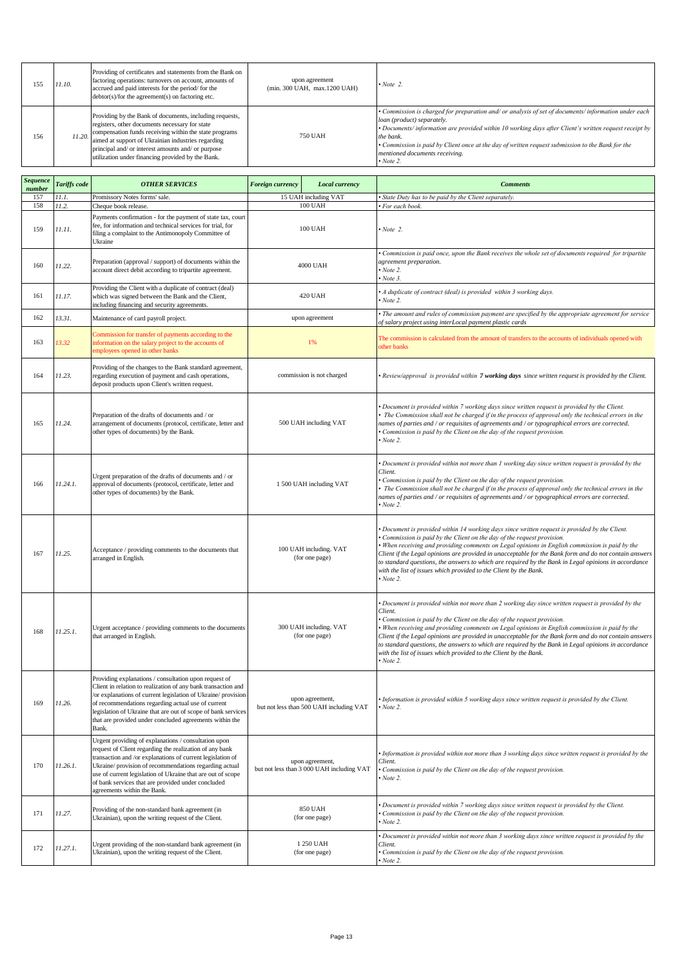| 155 | 11.10. | Providing of certificates and statements from the Bank on<br>factoring operations: turnovers on account, amounts of<br>accrued and paid interests for the period/for the<br>$debtor(s)/for$ the agreement(s) on factoring etc.                                                                                                       | upon agreement<br>(min. 300 UAH, max.1200 UAH) | $\cdot$ Note 2.                                                                                                                                                                                                                                                                                                                                                                                                   |
|-----|--------|--------------------------------------------------------------------------------------------------------------------------------------------------------------------------------------------------------------------------------------------------------------------------------------------------------------------------------------|------------------------------------------------|-------------------------------------------------------------------------------------------------------------------------------------------------------------------------------------------------------------------------------------------------------------------------------------------------------------------------------------------------------------------------------------------------------------------|
| 156 | 11.20. | Providing by the Bank of documents, including requests,<br>registers, other documents necessary for state<br>compensation funds receiving within the state programs<br>aimed at support of Ukrainian industries regarding<br>principal and/ or interest amounts and/ or purpose<br>utilization under financing provided by the Bank. | 750 UAH                                        | • Commission is charged for preparation and/ or analysis of set of documents/ information under each<br>loan (product) separately.<br>• Documents/information are provided within 10 working days after Client's written request receipt by<br>the bank.<br>• Commission is paid by Client once at the day of written request submission to the Bank for the<br>mentioned documents receiving.<br>$\cdot$ Note 2. |

| <b>Sequence</b><br>number | <b>Tariffs</b> code | <b>OTHER SERVICES</b>                                                                                                                                                                                                                                                                                                                                                                       | Foreign currency<br>Local currency                           |                           | <b>Comments</b>                                                                                                                                                                                                                                                                                                                                                                                                                                                                                                                                                                                  |
|---------------------------|---------------------|---------------------------------------------------------------------------------------------------------------------------------------------------------------------------------------------------------------------------------------------------------------------------------------------------------------------------------------------------------------------------------------------|--------------------------------------------------------------|---------------------------|--------------------------------------------------------------------------------------------------------------------------------------------------------------------------------------------------------------------------------------------------------------------------------------------------------------------------------------------------------------------------------------------------------------------------------------------------------------------------------------------------------------------------------------------------------------------------------------------------|
| 157                       | 11.1.               | Promissory Notes forms' sale.                                                                                                                                                                                                                                                                                                                                                               | 15 UAH including VAT                                         |                           | State Duty has to be paid by the Client separately                                                                                                                                                                                                                                                                                                                                                                                                                                                                                                                                               |
| 158                       | 11.2.               | Cheque book release.                                                                                                                                                                                                                                                                                                                                                                        | <b>100 UAH</b>                                               |                           | For each book.                                                                                                                                                                                                                                                                                                                                                                                                                                                                                                                                                                                   |
| 159                       | 11.11.              | Payments confirmation - for the payment of state tax, court<br>fee, for information and technical services for trial, for<br>filing a complaint to the Antimonopoly Committee of<br>Ukraine                                                                                                                                                                                                 |                                                              | <b>100 UAH</b>            | $\cdot$ Note 2.                                                                                                                                                                                                                                                                                                                                                                                                                                                                                                                                                                                  |
| 160                       | 11.22.              | Preparation (approval / support) of documents within the<br>account direct debit according to tripartite agreement.                                                                                                                                                                                                                                                                         | 4000 UAH                                                     |                           | Commission is paid once, upon the Bank receives the whole set of documents required for tripartite<br>agreement preparation.<br>Note 2.<br>Note 3.                                                                                                                                                                                                                                                                                                                                                                                                                                               |
| 161                       | 11.17.              | Providing the Client with a duplicate of contract (deal)<br>which was signed between the Bank and the Client,<br>including financing and security agreements.                                                                                                                                                                                                                               |                                                              | <b>420 UAH</b>            | • A duplicate of contract (deal) is provided within 3 working days.<br>Note 2.                                                                                                                                                                                                                                                                                                                                                                                                                                                                                                                   |
| 162                       | 13.31.              | Maintenance of card payroll project.                                                                                                                                                                                                                                                                                                                                                        |                                                              | upon agreement            | • The amount and rules of commission payment are specified by the appropriate agreement for service<br>of salary project using interLocal payment plastic cards                                                                                                                                                                                                                                                                                                                                                                                                                                  |
| 163                       | 13.32               | Commission for transfer of payments according to the<br>information on the salary project to the accounts of<br>employees opened in other banks                                                                                                                                                                                                                                             |                                                              | 1%                        | The commission is calculated from the amount of transfers to the accounts of individuals opened with<br>other banks                                                                                                                                                                                                                                                                                                                                                                                                                                                                              |
| 164                       | 11.23.              | Providing of the changes to the Bank standard agreement,<br>regarding execution of payment and cash operations,<br>deposit products upon Client's written request.                                                                                                                                                                                                                          |                                                              | commission is not charged | Review/approval is provided within 7 working days since written request is provided by the Client.                                                                                                                                                                                                                                                                                                                                                                                                                                                                                               |
| 165                       | 11.24.              | Preparation of the drafts of documents and / or<br>arrangement of documents (protocol, certificate, letter and<br>other types of documents) by the Bank.                                                                                                                                                                                                                                    | 500 UAH including VAT                                        |                           | Document is provided within 7 working days since written request is provided by the Client.<br>The Commission shall not be charged if in the process of approval only the technical errors in the<br>names of parties and / or requisites of agreements and / or typographical errors are corrected.<br>Commission is paid by the Client on the day of the request provision.<br>Note 2.                                                                                                                                                                                                         |
| 166                       | 11.24.1.            | Urgent preparation of the drafts of documents and / or<br>approval of documents (protocol, certificate, letter and<br>other types of documents) by the Bank.                                                                                                                                                                                                                                | 1 500 UAH including VAT                                      |                           | Document is provided within not more than 1 working day since written request is provided by the<br>Client.<br>Commission is paid by the Client on the day of the request provision.<br>The Commission shall not be charged if in the process of approval only the technical errors in the<br>names of parties and / or requisites of agreements and / or typographical errors are corrected.<br>Note 2.                                                                                                                                                                                         |
| 167                       | 11.25.              | Acceptance / providing comments to the documents that<br>arranged in English.                                                                                                                                                                                                                                                                                                               | 100 UAH including. VAT<br>(for one page)                     |                           | Document is provided within 14 working days since written request is provided by the Client.<br>Commission is paid by the Client on the day of the request provision.<br>When receiving and providing comments on Legal opinions in English commission is paid by the<br>Client if the Legal opinions are provided in unacceptable for the Bank form and do not contain answers<br>to standard questions, the answers to which are required by the Bank in Legal opinions in accordance<br>with the list of issues which provided to the Client by the Bank.<br>$\cdot$ Note 2.                  |
| 168                       | 11.25.1.            | Urgent acceptance / providing comments to the documents<br>that arranged in English.                                                                                                                                                                                                                                                                                                        | 300 UAH including. VAT<br>(for one page)                     |                           | • Document is provided within not more than 2 working day since written request is provided by the<br>Client.<br>Commission is paid by the Client on the day of the request provision.<br>When receiving and providing comments on Legal opinions in English commission is paid by the<br>Client if the Legal opinions are provided in unacceptable for the Bank form and do not contain answers<br>to standard questions, the answers to which are required by the Bank in Legal opinions in accordance<br>with the list of issues which provided to the Client by the Bank.<br>$\cdot$ Note 2. |
| 169                       | 11.26.              | Providing explanations / consultation upon request of<br>Client in relation to realization of any bank transaction and<br>or explanations of current legislation of Ukraine/ provision<br>of recommendations regarding actual use of current<br>legislation of Ukraine that are out of scope of bank services<br>that are provided under concluded agreements within the<br>Bank.           | upon agreement,<br>but not less than 500 UAH including VAT   |                           | Information is provided within 5 working days since written request is provided by the Client.<br>Note 2.                                                                                                                                                                                                                                                                                                                                                                                                                                                                                        |
| 170                       | 11.26.1.            | Urgent providing of explanations / consultation upon<br>request of Client regarding the realization of any bank<br>transaction and /or explanations of current legislation of<br>Ukraine/ provision of recommendations regarding actual<br>use of current legislation of Ukraine that are out of scope<br>of bank services that are provided under concluded<br>agreements within the Bank. | upon agreement,<br>but not less than 3 000 UAH including VAT |                           | Information is provided within not more than 3 working days since written request is provided by the<br>Client.<br>Commission is paid by the Client on the day of the request provision.<br>Note 2.                                                                                                                                                                                                                                                                                                                                                                                              |
| 171                       | 11.27.              | Providing of the non-standard bank agreement (in<br>Ukrainian), upon the writing request of the Client.                                                                                                                                                                                                                                                                                     | <b>850 UAH</b><br>(for one page)                             |                           | Document is provided within 7 working days since written request is provided by the Client.<br>Commission is paid by the Client on the day of the request provision.<br>$\cdot$ Note 2.                                                                                                                                                                                                                                                                                                                                                                                                          |
| 172                       | 11.27.1.            | Urgent providing of the non-standard bank agreement (in<br>Ukrainian), upon the writing request of the Client.                                                                                                                                                                                                                                                                              | 1 250 UAH<br>(for one page)                                  |                           | Document is provided within not more than 3 working days since written request is provided by the<br>Client.<br>Commission is paid by the Client on the day of the request provision.<br>Note 2.                                                                                                                                                                                                                                                                                                                                                                                                 |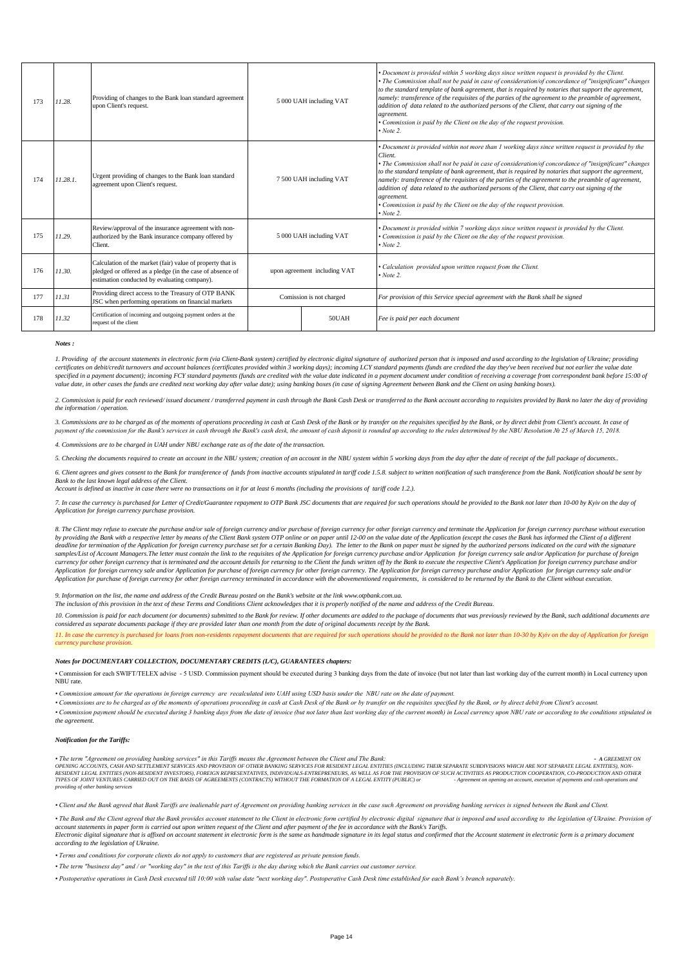| 173 | 11.28.   | Providing of changes to the Bank loan standard agreement<br>upon Client's request.                                                                                      | 5 000 UAH including VAT      |  | • Document is provided within 5 working days since written request is provided by the Client.<br>• The Commission shall not be paid in case of consideration/of concordance of "insignificant" changes<br>to the standard template of bank agreement, that is required by notaries that support the agreement,<br>namely: transference of the requisites of the parties of the agreement to the preamble of agreement,<br>addition of data related to the authorized persons of the Client, that carry out signing of the<br>agreement.<br>• Commission is paid by the Client on the day of the request provision.<br>$\cdot$ Note 2.                  |
|-----|----------|-------------------------------------------------------------------------------------------------------------------------------------------------------------------------|------------------------------|--|--------------------------------------------------------------------------------------------------------------------------------------------------------------------------------------------------------------------------------------------------------------------------------------------------------------------------------------------------------------------------------------------------------------------------------------------------------------------------------------------------------------------------------------------------------------------------------------------------------------------------------------------------------|
| 174 | 11.28.1. | Urgent providing of changes to the Bank loan standard<br>agreement upon Client's request.                                                                               | 7 500 UAH including VAT      |  | • Document is provided within not more than 1 working days since written request is provided by the<br>Client.<br>• The Commission shall not be paid in case of consideration/of concordance of "insignificant" changes<br>to the standard template of bank agreement, that is required by notaries that support the agreement,<br>namely: transference of the requisites of the parties of the agreement to the preamble of agreement,<br>addition of data related to the authorized persons of the Client, that carry out signing of the<br>agreement.<br>• Commission is paid by the Client on the day of the request provision.<br>$\cdot$ Note 2. |
| 175 | 11.29.   | Review/approval of the insurance agreement with non-<br>authorized by the Bank insurance company offered by<br>Client.                                                  | 5 000 UAH including VAT      |  | • Document is provided within 7 working days since written request is provided by the Client.<br>Commission is paid by the Client on the day of the request provision.<br>$\cdot$ Note 2.                                                                                                                                                                                                                                                                                                                                                                                                                                                              |
| 176 | 11.30.   | Calculation of the market (fair) value of property that is<br>pledged or offered as a pledge (in the case of absence of<br>estimation conducted by evaluating company). | upon agreement including VAT |  | • Calculation provided upon written request from the Client.<br>$\cdot$ Note 2.                                                                                                                                                                                                                                                                                                                                                                                                                                                                                                                                                                        |
| 177 | 11.31    | Providing direct access to the Treasury of OTP BANK<br>JSC when performing operations on financial markets                                                              | Comission is not charged     |  | For provision of this Service special agreement with the Bank shall be signed                                                                                                                                                                                                                                                                                                                                                                                                                                                                                                                                                                          |
| 178 | 11.32    | Certification of incoming and outgoing payment orders at the<br>request of the client                                                                                   | 50UAH                        |  | Fee is paid per each document                                                                                                                                                                                                                                                                                                                                                                                                                                                                                                                                                                                                                          |

## *Notes :*

1. Providing of the account statements in electronic form (via Client-Bank system) certified by electronic digital signature of authorized person that is imposed and used according to the legislation of Ukraine; providing certificates on debit/credit turnovers and account balances (certificates provided within 3 working days); incoming LCY standard payments (funds are credited the day they've been received but not earlier the value date specified in a payment document); incoming FCY standard payments (funds are credited with the value date indicated in a payment document under condition of receiving a coverage from correspondent bank before 15:00 of *value date, in other cases the funds are credited next working day after value date); using banking boxes (in case of signing Agreement between Bank and the Client on using banking boxes).*

2. Commission is paid for each reviewed/issued document/transferred payment in cash through the Bank Cash Desk or transferred to the Bank account according to requisites provided by Bank no later the day of providing *the information / operation.*

3. Commissions are to be charged as of the moments of operations proceeding in cash at Cash Desk of the Bank or by transfer on the requisites specified by the Bank, or by direct debit from Client's account. In case of *payment of the commission for the Bank's services in cash through the Bank's cash desk, the amount of cash deposit is rounded up according to the rules determined by the NBU Resolution № 25 of March 15, 2018.*

*4. Commissions are to be charged in UAH under NBU exchange rate as of the date of the transaction.*

*5. Checking the documents required to create an account in the NBU system; creation of an account in the NBU system within 5 working days from the day after the date of receipt of the full package of documents..*

6. Client agrees and gives consent to the Bank for transference of funds from inactive accounts stipulated in tariff code 1.5.8. subject to written notification of such transference from the Bank. Notification should be se *Bank to the last known legal address of the Client.*

*Account is defined as inactive in case there were no transactions on it for at least 6 months (including the provisions of tariff code 1.2.).*

*7. In case the currency is purchased for Letter of Credit/Guarantee repayment to OTP Bank JSC documents that are required for such operations should be provided to the Bank not later than 10-00 by Kyiv on the day of Application for foreign currency purchase provision.* 

8. The Client may refuse to execute the purchase and/or sale of foreign currency and/or purchase of foreign currency for other foreign currency and terminate the Application for foreign currency purchase without execution by providing the Bank with a respective letter by means of the Client Bank system OTP online or on paper until 12-00 on the value date of the Application (except the cases the Bank has informed the Client of a different<br>de samples/List of Account Managers.The letter must contain the link to the requisites of the Application for foreign currency purchase and/or Application for porcine y sale and/or Application for purchase of foreign<br>currency *Application for foreign currency sale and/or Application for purchase of foreign currency for other foreign currency. The Application for foreign currency purchase and/or Application for foreign currency sale and/or*  $A$ *pp Application for purchase of foreign currency for other foreign currency terminated in accordance with the abovementioned requirements, is considered to be returned by the Bank to the Client without execution.*

*9. Information on the list, the name and address of the Credit Bureau posted on the Bank's website at the link www.otpbank.com.ua. The inclusion of this provision in the text of these Terms and Conditions Client acknowledges that it is properly notified of the name and address of the Credit Bureau.*

10. Commission is paid for each document (or documents) submitted to the Bank for review. If other documents are added to the package of documents that was previously reviewed by the Bank, such additional documents are *considered as separate documents package if they are provided later than one month from the date of original documents receipt by the Bank.*

11. In case the currency is purchased for loans from non-residents repayment documents that are required for such operations should be provided to the Bank not later than 10-30 by Kyiv on the day of Application for foreign *currency purchase provision.* 

## *Notes for DOCUMENTARY COLLECTION, DOCUMENTARY CREDITS (L/C), GUARANTEES chapters:*

• Commission for each SWIFT/TELEX advise - 5 USD. Commission payment should be executed during 3 banking days from the date of invoice (but not later than last working day of the current month) in Local currency upon NBU rate.

*• Commission amount for the operations in foreign currency are recalculated into UAH using USD basis under the NBU rate on the date of payment.*

*• Commissions are to be charged as of the moments of operations proceeding in cash at Cash Desk of the Bank or by transfer on the requisites specified by the Bank, or by direct debit from Client's account.* · Commission payment should be executed during 3 banking days from the date of invoice (but not later than last working day of the current month) in Local currency upon NBU rate or according to the conditions stipulated in *the agreement.* 

## *Notification for the Tariffs:*

• The term "Agreement on providing banking services" in this Tariffs means the Agreement between the Client and The Bank:<br>OPENING ACCOUNTS, CASH AND SETTLEMENT SERVICES AND PROVISION OF OTHER BANKING SERVICES FOR RESIDENT RESIDENT LEGAL ENTITIES (NON-RESIDENT INVESTORS), FOREIGN REFRESENTATIVES, INDUCIDATIONS, ASSUELLAS FOR THE PROVISION OF SUCH ACTIVITIES AS PRODUCTION COOPRATION, CO-PRODUCTION AND OTHER ASSUED TO A SUCH A SUCH A SUCCLEDIT *providing of other banking services*

*• Client and the Bank agreed that Bank Tariffs are inalienable part of Agreement on providing banking services in the case such Agreement on providing banking services is signed between the Bank and Client.*

• The Bank and the Client agreed that the Bank provides account statement to the Client in electronic form certified by electronic digital signature that is imposed and used according to the legislation of Ukraine. Provisi account statements in paper form is carried out upon written request of the Client and after payment of the fee in accordance with the Bank's Tariffs.<br>Electronic digital signature that is affixed on account statement in el

*according to the legislation of Ukraine.*

*• Terms and conditions for corporate clients do not apply to customers that are registered as private pension funds.*

*• The term "business day" and / or "working day" in the text of this Tariffs is the day during which the Bank carries out customer service.*

*• Postoperative operations in Cash Desk executed till 10:00 with value date "next working day". Postoperative Cash Desk time established for each Bank's branch separately.*